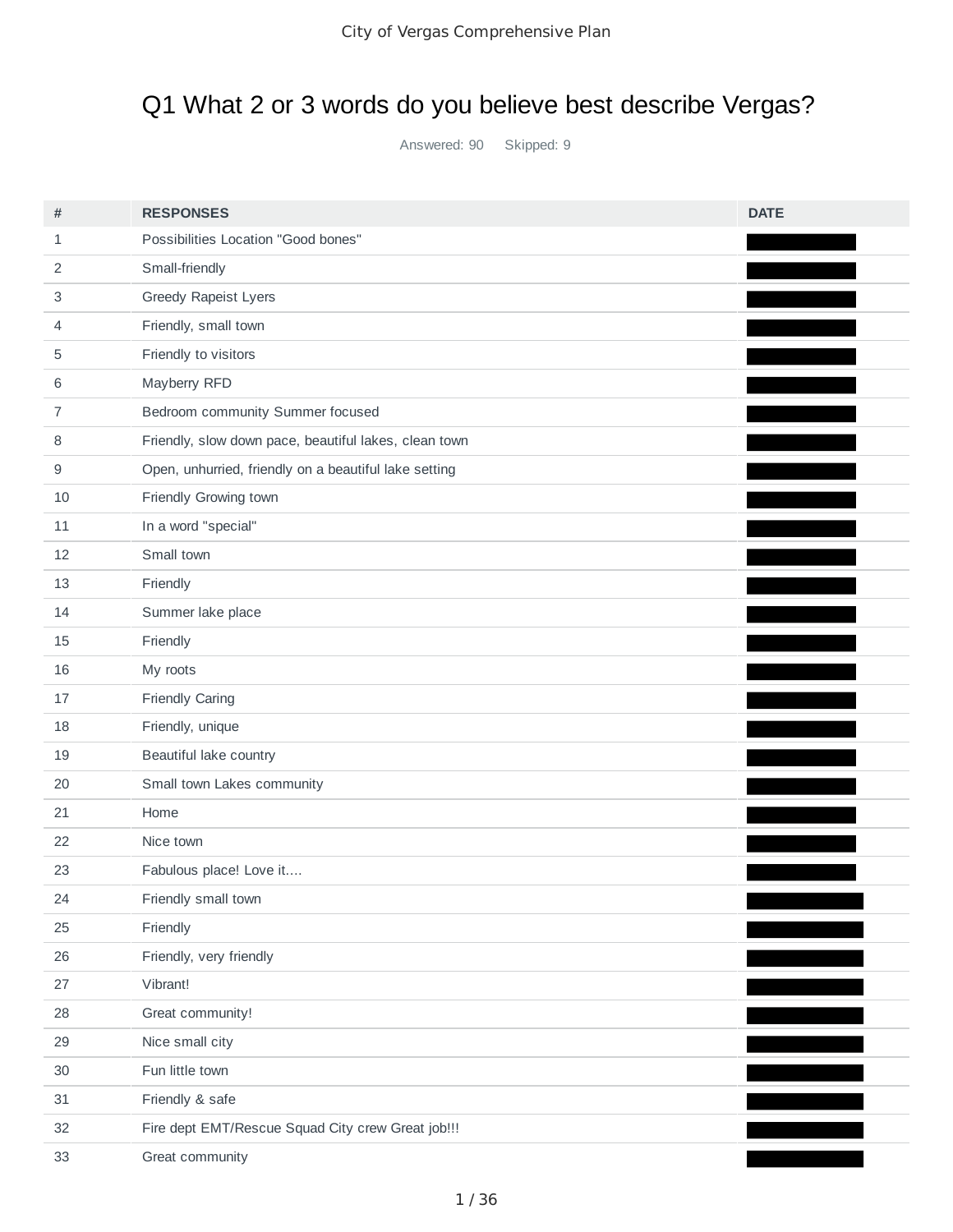# Q1 What 2 or 3 words do you believe best describe Vergas?

Answered: 90 Skipped: 9

| #      | <b>RESPONSES</b>                                      | <b>DATE</b> |
|--------|-------------------------------------------------------|-------------|
| 1      | Possibilities Location "Good bones"                   |             |
| 2      | Small-friendly                                        |             |
| 3      | Greedy Rapeist Lyers                                  |             |
| 4      | Friendly, small town                                  |             |
| 5      | Friendly to visitors                                  |             |
| 6      | Mayberry RFD                                          |             |
| 7      | Bedroom community Summer focused                      |             |
| 8      | Friendly, slow down pace, beautiful lakes, clean town |             |
| 9      | Open, unhurried, friendly on a beautiful lake setting |             |
| 10     | Friendly Growing town                                 |             |
| 11     | In a word "special"                                   |             |
| 12     | Small town                                            |             |
| 13     | Friendly                                              |             |
| 14     | Summer lake place                                     |             |
| 15     | Friendly                                              |             |
| 16     | My roots                                              |             |
| 17     | Friendly Caring                                       |             |
| 18     | Friendly, unique                                      |             |
| 19     | Beautiful lake country                                |             |
| 20     | Small town Lakes community                            |             |
| 21     | Home                                                  |             |
| 22     | Nice town                                             |             |
| 23     | Fabulous place! Love it                               |             |
| 24     | Friendly small town                                   |             |
| 25     | Friendly                                              |             |
| $26\,$ | Friendly, very friendly                               |             |
| 27     | Vibrant!                                              |             |
| 28     | Great community!                                      |             |
| 29     | Nice small city                                       |             |
| 30     | Fun little town                                       |             |
| 31     | Friendly & safe                                       |             |
| 32     | Fire dept EMT/Rescue Squad City crew Great job !!!    |             |
| 33     | Great community                                       |             |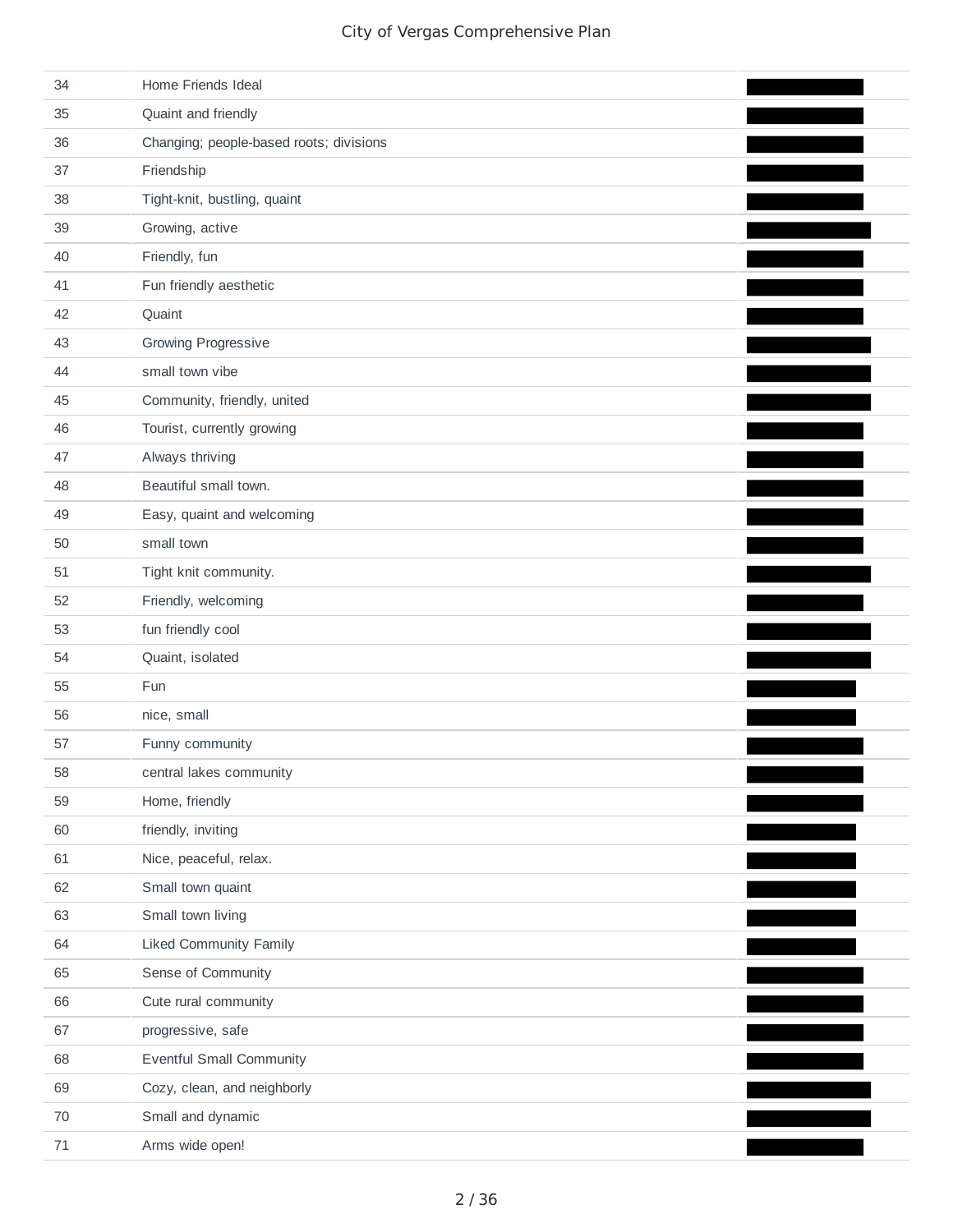| 34     | Home Friends Ideal                      |  |
|--------|-----------------------------------------|--|
| 35     | Quaint and friendly                     |  |
| 36     | Changing; people-based roots; divisions |  |
| 37     | Friendship                              |  |
| 38     | Tight-knit, bustling, quaint            |  |
| 39     | Growing, active                         |  |
| 40     | Friendly, fun                           |  |
| 41     | Fun friendly aesthetic                  |  |
| 42     | Quaint                                  |  |
| 43     | Growing Progressive                     |  |
| 44     | small town vibe                         |  |
| 45     | Community, friendly, united             |  |
| 46     | Tourist, currently growing              |  |
| 47     | Always thriving                         |  |
| 48     | Beautiful small town.                   |  |
| 49     | Easy, quaint and welcoming              |  |
| 50     | small town                              |  |
| 51     | Tight knit community.                   |  |
| 52     | Friendly, welcoming                     |  |
| 53     | fun friendly cool                       |  |
| 54     | Quaint, isolated                        |  |
| 55     | Fun                                     |  |
| 56     | nice, small                             |  |
| 57     | Funny community                         |  |
| 58     | central lakes community                 |  |
| 59     | Home, friendly                          |  |
| 60     | friendly, inviting                      |  |
| 61     | Nice, peaceful, relax.                  |  |
| 62     | Small town quaint                       |  |
| 63     | Small town living                       |  |
| 64     | <b>Liked Community Family</b>           |  |
| 65     | Sense of Community                      |  |
| 66     | Cute rural community                    |  |
| 67     | progressive, safe                       |  |
| 68     | <b>Eventful Small Community</b>         |  |
| 69     | Cozy, clean, and neighborly             |  |
| 70     | Small and dynamic                       |  |
| $71\,$ | Arms wide open!                         |  |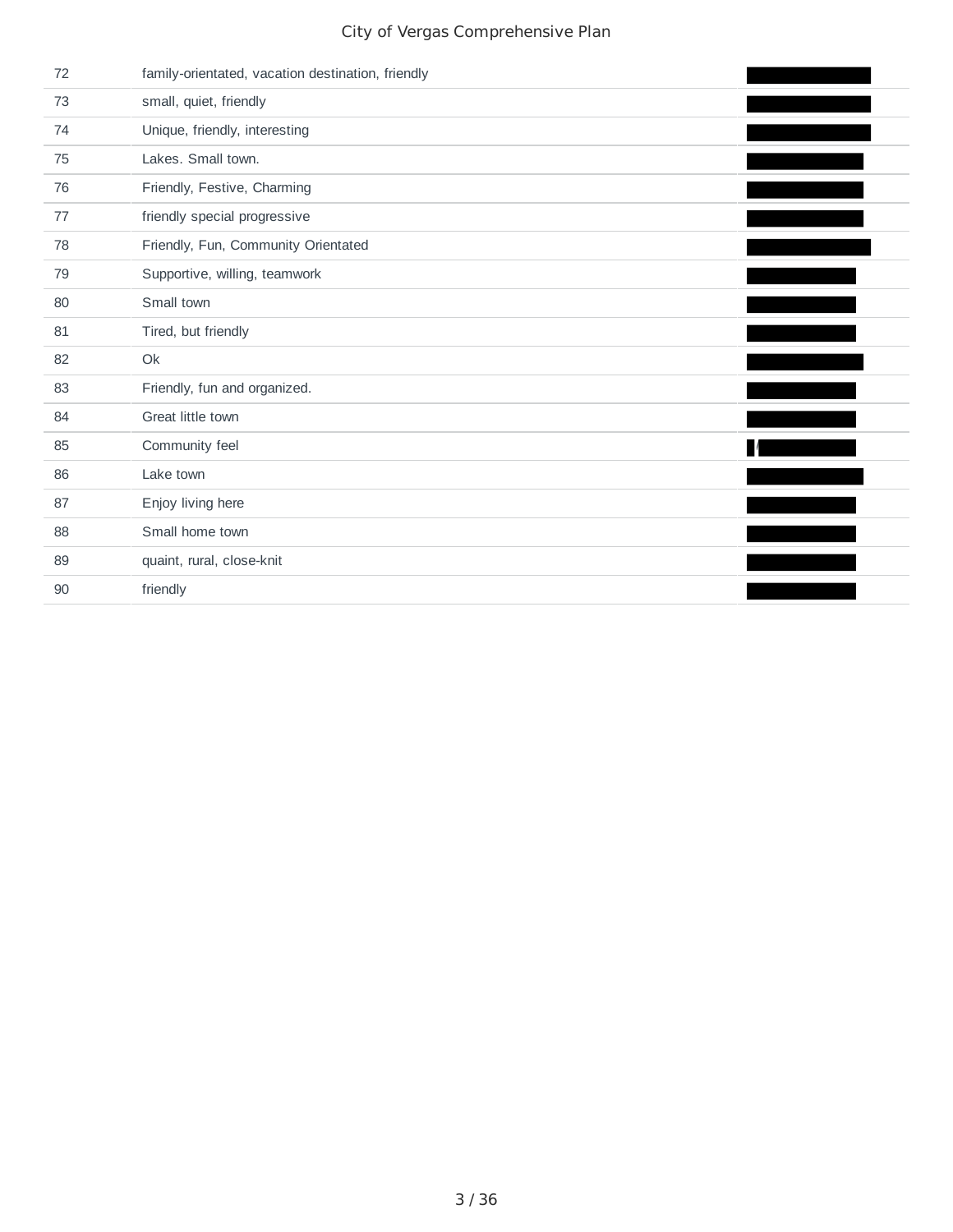| 72 | family-orientated, vacation destination, friendly |  |
|----|---------------------------------------------------|--|
| 73 | small, quiet, friendly                            |  |
| 74 | Unique, friendly, interesting                     |  |
| 75 | Lakes. Small town.                                |  |
| 76 | Friendly, Festive, Charming                       |  |
| 77 | friendly special progressive                      |  |
| 78 | Friendly, Fun, Community Orientated               |  |
| 79 | Supportive, willing, teamwork                     |  |
| 80 | Small town                                        |  |
| 81 | Tired, but friendly                               |  |
| 82 | Ok                                                |  |
| 83 | Friendly, fun and organized.                      |  |
| 84 | Great little town                                 |  |
| 85 | Community feel                                    |  |
| 86 | Lake town                                         |  |
| 87 | Enjoy living here                                 |  |
| 88 | Small home town                                   |  |
| 89 | quaint, rural, close-knit                         |  |
| 90 | friendly                                          |  |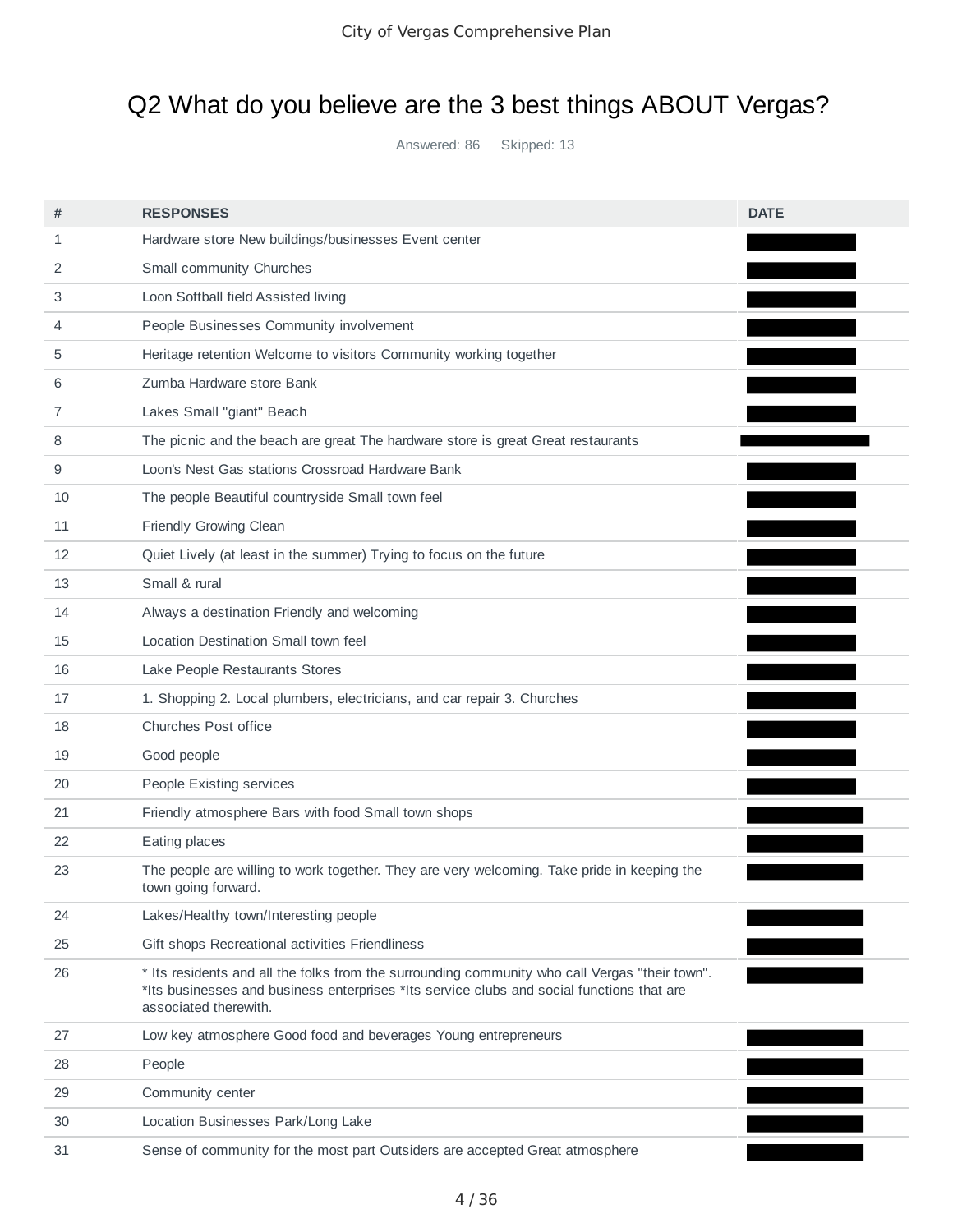## Q2 What do you believe are the 3 best things ABOUT Vergas?

Answered: 86 Skipped: 13

| #  | <b>RESPONSES</b>                                                                                                                                                                                                     | <b>DATE</b> |
|----|----------------------------------------------------------------------------------------------------------------------------------------------------------------------------------------------------------------------|-------------|
| 1  | Hardware store New buildings/businesses Event center                                                                                                                                                                 |             |
| 2  | Small community Churches                                                                                                                                                                                             |             |
| 3  | Loon Softball field Assisted living                                                                                                                                                                                  |             |
| 4  | People Businesses Community involvement                                                                                                                                                                              |             |
| 5  | Heritage retention Welcome to visitors Community working together                                                                                                                                                    |             |
| 6  | Zumba Hardware store Bank                                                                                                                                                                                            |             |
| 7  | Lakes Small "giant" Beach                                                                                                                                                                                            |             |
| 8  | The picnic and the beach are great The hardware store is great Great restaurants                                                                                                                                     |             |
| 9  | Loon's Nest Gas stations Crossroad Hardware Bank                                                                                                                                                                     |             |
| 10 | The people Beautiful countryside Small town feel                                                                                                                                                                     | <u>an a</u> |
| 11 | Friendly Growing Clean                                                                                                                                                                                               |             |
| 12 | Quiet Lively (at least in the summer) Trying to focus on the future                                                                                                                                                  |             |
| 13 | Small & rural                                                                                                                                                                                                        |             |
| 14 | Always a destination Friendly and welcoming                                                                                                                                                                          |             |
| 15 | Location Destination Small town feel                                                                                                                                                                                 |             |
| 16 | Lake People Restaurants Stores                                                                                                                                                                                       |             |
| 17 | 1. Shopping 2. Local plumbers, electricians, and car repair 3. Churches                                                                                                                                              |             |
| 18 | Churches Post office                                                                                                                                                                                                 |             |
| 19 | Good people                                                                                                                                                                                                          |             |
| 20 | People Existing services                                                                                                                                                                                             |             |
| 21 | Friendly atmosphere Bars with food Small town shops                                                                                                                                                                  |             |
| 22 | Eating places                                                                                                                                                                                                        |             |
| 23 | The people are willing to work together. They are very welcoming. Take pride in keeping the<br>town going forward.                                                                                                   |             |
| 24 | Lakes/Healthy town/Interesting people                                                                                                                                                                                |             |
| 25 | Gift shops Recreational activities Friendliness                                                                                                                                                                      |             |
| 26 | * Its residents and all the folks from the surrounding community who call Vergas "their town".<br>*Its businesses and business enterprises *Its service clubs and social functions that are<br>associated therewith. |             |
| 27 | Low key atmosphere Good food and beverages Young entrepreneurs                                                                                                                                                       |             |
| 28 | People                                                                                                                                                                                                               |             |
| 29 | Community center                                                                                                                                                                                                     |             |
| 30 | Location Businesses Park/Long Lake                                                                                                                                                                                   |             |
| 31 | Sense of community for the most part Outsiders are accepted Great atmosphere                                                                                                                                         |             |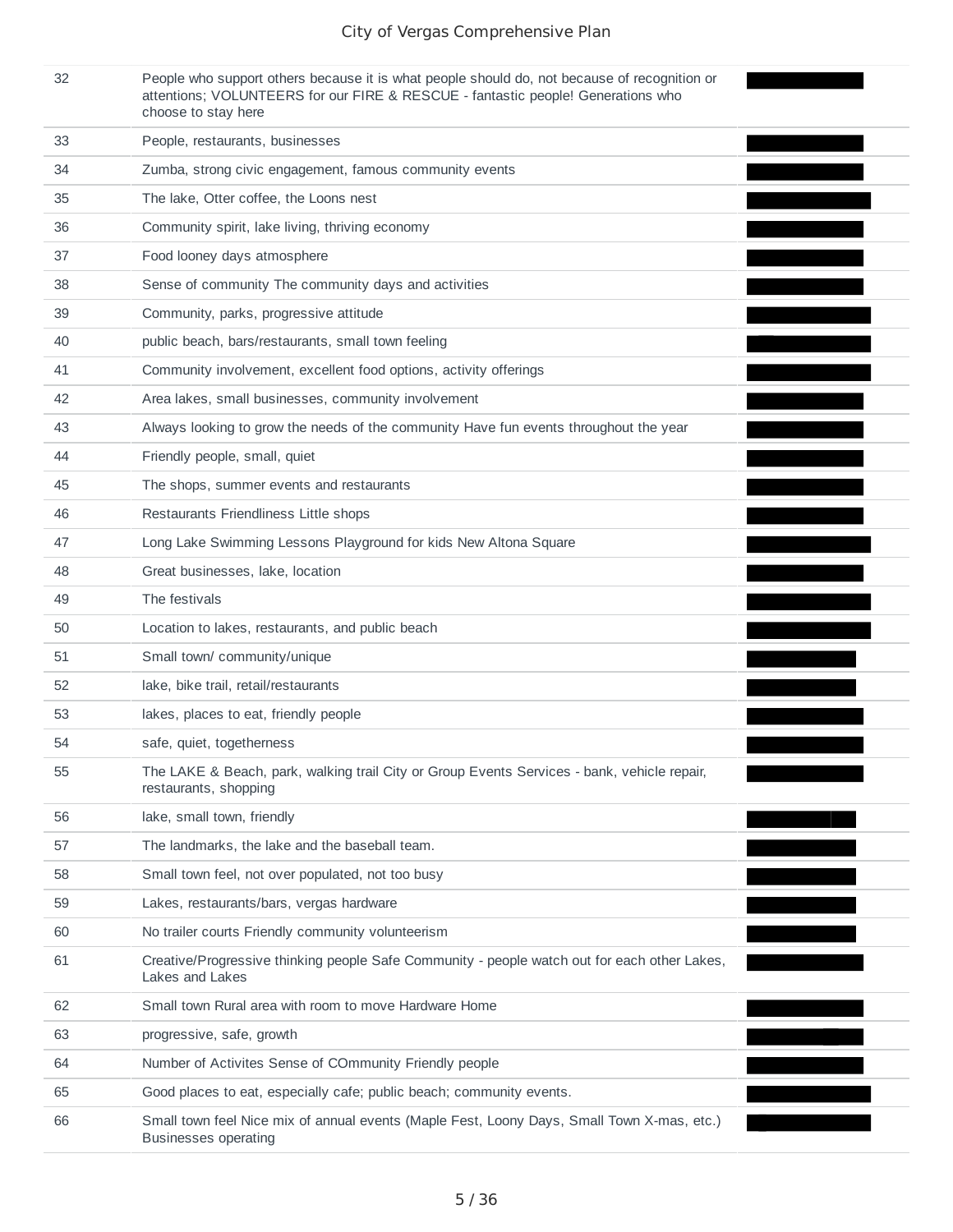| 32 | People who support others because it is what people should do, not because of recognition or |
|----|----------------------------------------------------------------------------------------------|
|    | attentions; VOLUNTEERS for our FIRE & RESCUE - fantastic people! Generations who             |
|    | choose to stay here                                                                          |

| 33 | People, restaurants, businesses                                                                                           |  |
|----|---------------------------------------------------------------------------------------------------------------------------|--|
| 34 | Zumba, strong civic engagement, famous community events                                                                   |  |
| 35 | The lake, Otter coffee, the Loons nest                                                                                    |  |
| 36 | Community spirit, lake living, thriving economy                                                                           |  |
| 37 | Food looney days atmosphere                                                                                               |  |
| 38 | Sense of community The community days and activities                                                                      |  |
| 39 | Community, parks, progressive attitude                                                                                    |  |
| 40 | public beach, bars/restaurants, small town feeling                                                                        |  |
| 41 | Community involvement, excellent food options, activity offerings                                                         |  |
| 42 | Area lakes, small businesses, community involvement                                                                       |  |
| 43 | Always looking to grow the needs of the community Have fun events throughout the year                                     |  |
| 44 | Friendly people, small, quiet                                                                                             |  |
| 45 | The shops, summer events and restaurants                                                                                  |  |
| 46 | Restaurants Friendliness Little shops                                                                                     |  |
| 47 | Long Lake Swimming Lessons Playground for kids New Altona Square                                                          |  |
| 48 | Great businesses, lake, location                                                                                          |  |
| 49 | The festivals                                                                                                             |  |
| 50 | Location to lakes, restaurants, and public beach                                                                          |  |
| 51 | Small town/ community/unique                                                                                              |  |
| 52 | lake, bike trail, retail/restaurants                                                                                      |  |
| 53 | lakes, places to eat, friendly people                                                                                     |  |
| 54 | safe, quiet, togetherness                                                                                                 |  |
| 55 | The LAKE & Beach, park, walking trail City or Group Events Services - bank, vehicle repair,<br>restaurants, shopping      |  |
| 56 | lake, small town, friendly                                                                                                |  |
| 57 | The landmarks, the lake and the baseball team.                                                                            |  |
| 58 | Small town feel, not over populated, not too busy                                                                         |  |
| 59 | Lakes, restaurants/bars, vergas hardware                                                                                  |  |
| 60 | No trailer courts Friendly community volunteerism                                                                         |  |
| 61 | Creative/Progressive thinking people Safe Community - people watch out for each other Lakes,<br>Lakes and Lakes           |  |
| 62 | Small town Rural area with room to move Hardware Home                                                                     |  |
| 63 | progressive, safe, growth                                                                                                 |  |
| 64 | Number of Activites Sense of COmmunity Friendly people                                                                    |  |
| 65 | Good places to eat, especially cafe; public beach; community events.                                                      |  |
| 66 | Small town feel Nice mix of annual events (Maple Fest, Loony Days, Small Town X-mas, etc.)<br><b>Businesses operating</b> |  |
|    |                                                                                                                           |  |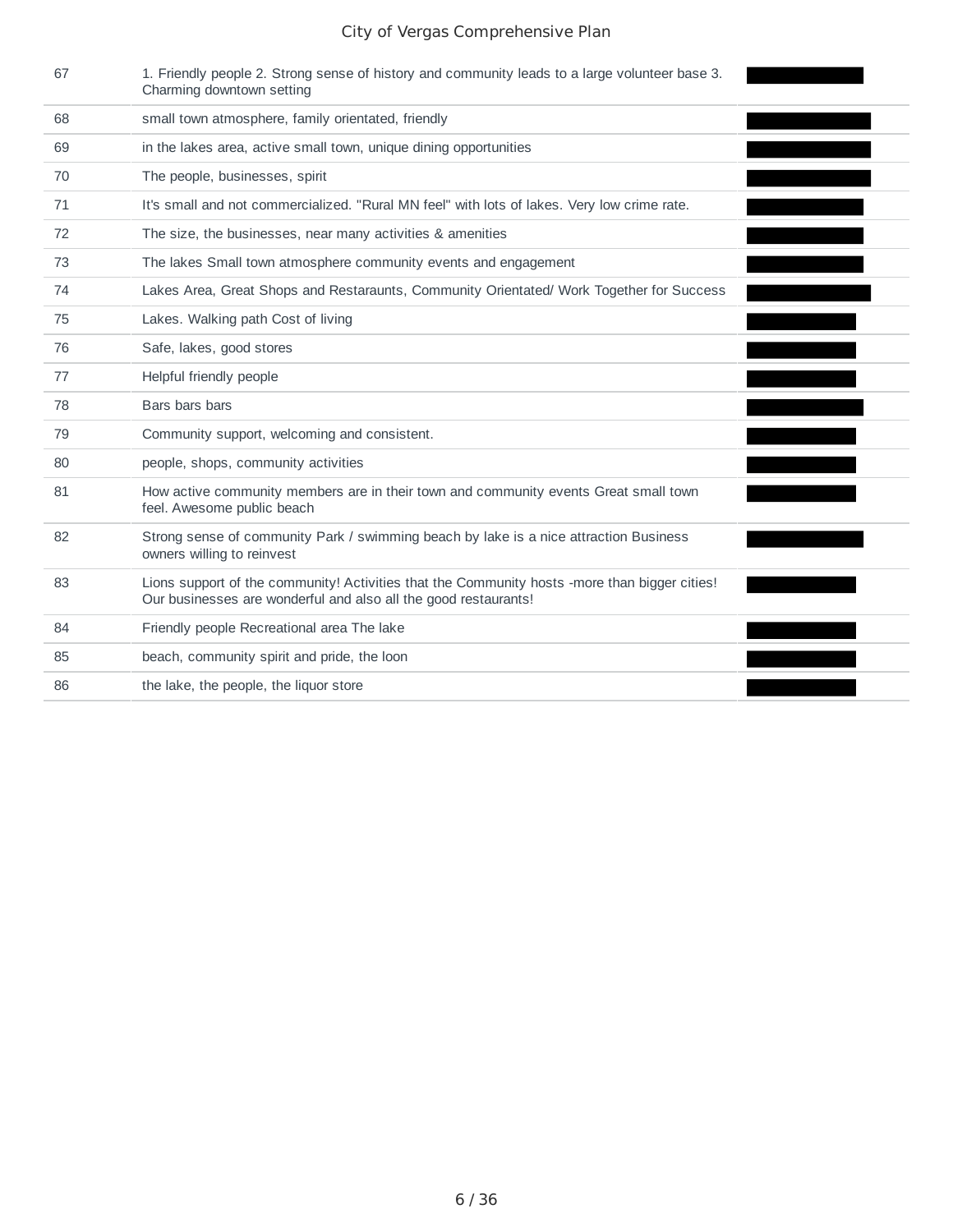| 67 | 1. Friendly people 2. Strong sense of history and community leads to a large volunteer base 3.<br>Charming downtown setting                                      |
|----|------------------------------------------------------------------------------------------------------------------------------------------------------------------|
| 68 | small town atmosphere, family orientated, friendly                                                                                                               |
| 69 | in the lakes area, active small town, unique dining opportunities                                                                                                |
| 70 | The people, businesses, spirit                                                                                                                                   |
| 71 | It's small and not commercialized. "Rural MN feel" with lots of lakes. Very low crime rate.                                                                      |
| 72 | The size, the businesses, near many activities & amenities                                                                                                       |
| 73 | The lakes Small town atmosphere community events and engagement                                                                                                  |
| 74 | Lakes Area, Great Shops and Restaraunts, Community Orientated/ Work Together for Success                                                                         |
| 75 | Lakes. Walking path Cost of living                                                                                                                               |
| 76 | Safe, lakes, good stores                                                                                                                                         |
| 77 | Helpful friendly people                                                                                                                                          |
| 78 | Bars bars bars                                                                                                                                                   |
| 79 | Community support, welcoming and consistent.                                                                                                                     |
| 80 | people, shops, community activities                                                                                                                              |
| 81 | How active community members are in their town and community events Great small town<br>feel. Awesome public beach                                               |
| 82 | Strong sense of community Park / swimming beach by lake is a nice attraction Business<br>owners willing to reinvest                                              |
| 83 | Lions support of the community! Activities that the Community hosts -more than bigger cities!<br>Our businesses are wonderful and also all the good restaurants! |
| 84 | Friendly people Recreational area The lake                                                                                                                       |
| 85 | beach, community spirit and pride, the loon                                                                                                                      |
| 86 | the lake, the people, the liquor store                                                                                                                           |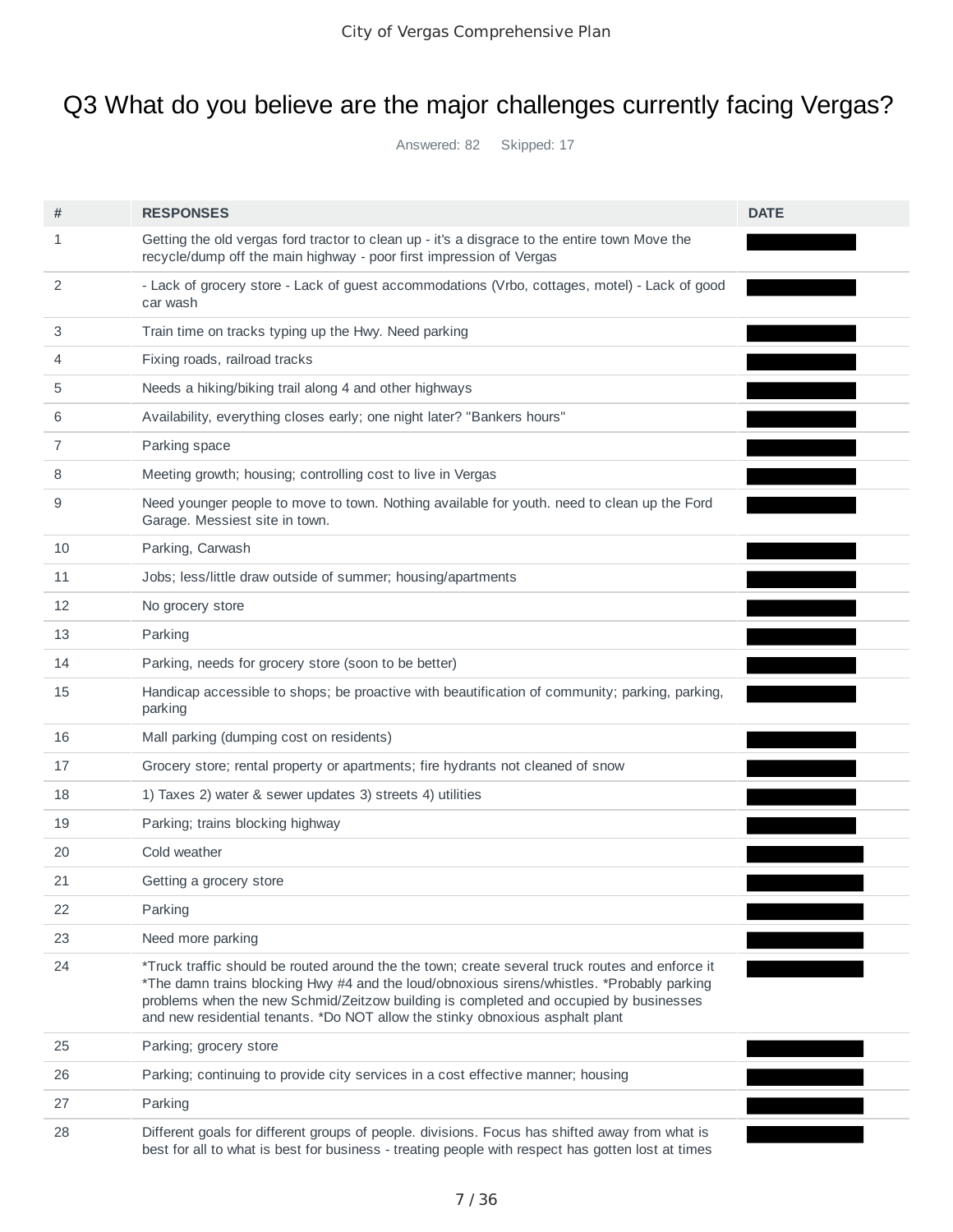## Q3 What do you believe are the major challenges currently facing Vergas?

Answered: 82 Skipped: 17

| #  | <b>RESPONSES</b>                                                                                                                                                                                                                                                                                                                                                        | <b>DATE</b> |
|----|-------------------------------------------------------------------------------------------------------------------------------------------------------------------------------------------------------------------------------------------------------------------------------------------------------------------------------------------------------------------------|-------------|
| 1  | Getting the old vergas ford tractor to clean up - it's a disgrace to the entire town Move the<br>recycle/dump off the main highway - poor first impression of Vergas                                                                                                                                                                                                    |             |
| 2  | - Lack of grocery store - Lack of guest accommodations (Vrbo, cottages, motel) - Lack of good<br>car wash                                                                                                                                                                                                                                                               |             |
| 3  | Train time on tracks typing up the Hwy. Need parking                                                                                                                                                                                                                                                                                                                    |             |
| 4  | Fixing roads, railroad tracks                                                                                                                                                                                                                                                                                                                                           |             |
| 5  | Needs a hiking/biking trail along 4 and other highways                                                                                                                                                                                                                                                                                                                  |             |
| 6  | Availability, everything closes early; one night later? "Bankers hours"                                                                                                                                                                                                                                                                                                 |             |
| 7  | Parking space                                                                                                                                                                                                                                                                                                                                                           |             |
| 8  | Meeting growth; housing; controlling cost to live in Vergas                                                                                                                                                                                                                                                                                                             |             |
| 9  | Need younger people to move to town. Nothing available for youth. need to clean up the Ford<br>Garage. Messiest site in town.                                                                                                                                                                                                                                           |             |
| 10 | Parking, Carwash                                                                                                                                                                                                                                                                                                                                                        |             |
| 11 | Jobs; less/little draw outside of summer; housing/apartments                                                                                                                                                                                                                                                                                                            |             |
| 12 | No grocery store                                                                                                                                                                                                                                                                                                                                                        |             |
| 13 | Parking                                                                                                                                                                                                                                                                                                                                                                 |             |
| 14 | Parking, needs for grocery store (soon to be better)                                                                                                                                                                                                                                                                                                                    |             |
| 15 | Handicap accessible to shops; be proactive with beautification of community; parking, parking,<br>parking                                                                                                                                                                                                                                                               |             |
| 16 | Mall parking (dumping cost on residents)                                                                                                                                                                                                                                                                                                                                |             |
| 17 | Grocery store; rental property or apartments; fire hydrants not cleaned of snow                                                                                                                                                                                                                                                                                         |             |
| 18 | 1) Taxes 2) water & sewer updates 3) streets 4) utilities                                                                                                                                                                                                                                                                                                               |             |
| 19 | Parking; trains blocking highway                                                                                                                                                                                                                                                                                                                                        |             |
| 20 | Cold weather                                                                                                                                                                                                                                                                                                                                                            |             |
| 21 | Getting a grocery store                                                                                                                                                                                                                                                                                                                                                 |             |
| 22 | Parking                                                                                                                                                                                                                                                                                                                                                                 |             |
| 23 | Need more parking                                                                                                                                                                                                                                                                                                                                                       |             |
| 24 | *Truck traffic should be routed around the the town; create several truck routes and enforce it<br>*The damn trains blocking Hwy #4 and the loud/obnoxious sirens/whistles. *Probably parking<br>problems when the new Schmid/Zeitzow building is completed and occupied by businesses<br>and new residential tenants. *Do NOT allow the stinky obnoxious asphalt plant |             |
| 25 | Parking; grocery store                                                                                                                                                                                                                                                                                                                                                  |             |
| 26 | Parking; continuing to provide city services in a cost effective manner; housing                                                                                                                                                                                                                                                                                        |             |
| 27 | Parking                                                                                                                                                                                                                                                                                                                                                                 |             |
| 28 | Different goals for different groups of people. divisions. Focus has shifted away from what is<br>best for all to what is best for business - treating people with respect has gotten lost at times                                                                                                                                                                     |             |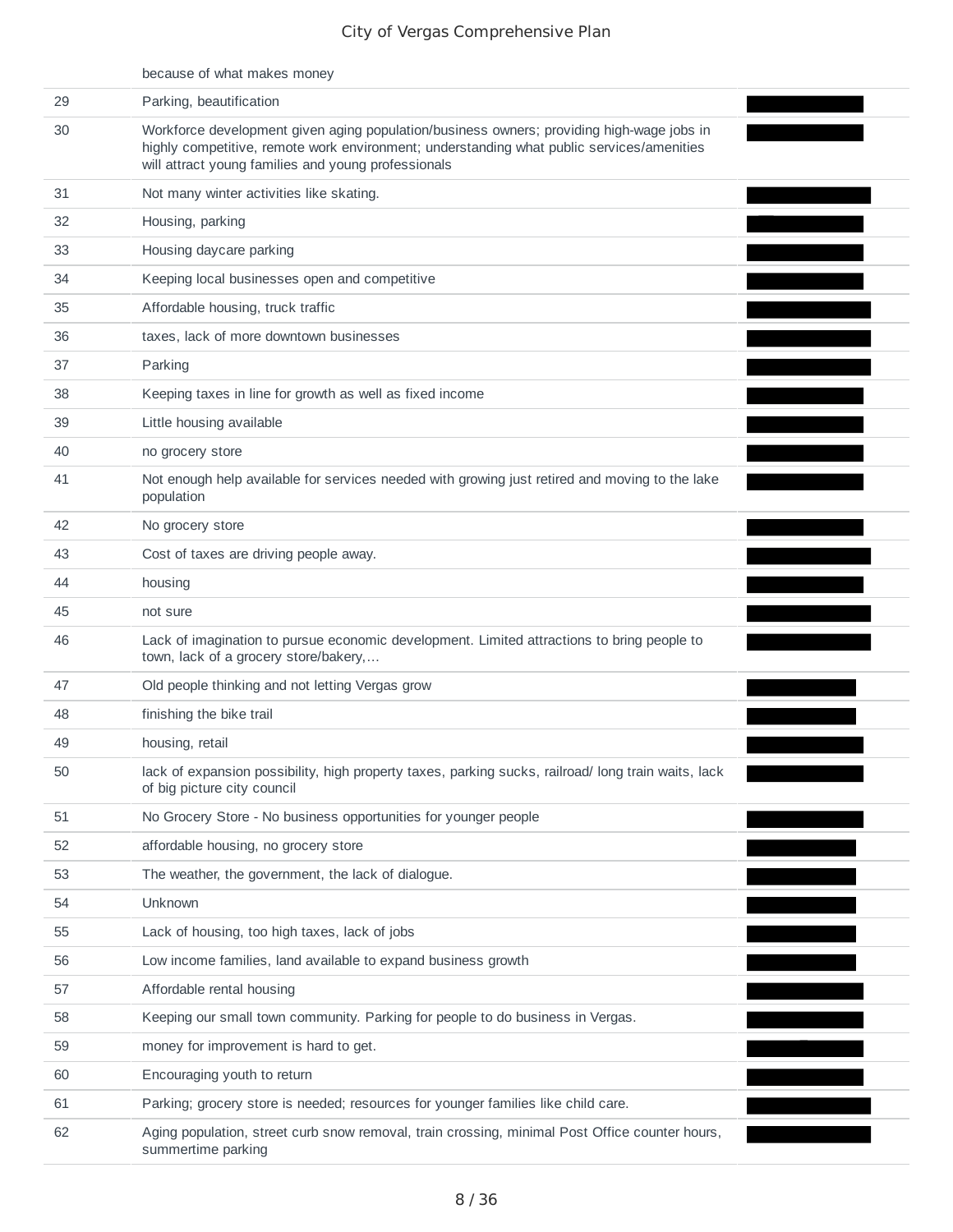|    | because of what makes money                                                                                                                                                                                                                   |  |
|----|-----------------------------------------------------------------------------------------------------------------------------------------------------------------------------------------------------------------------------------------------|--|
| 29 | Parking, beautification                                                                                                                                                                                                                       |  |
| 30 | Workforce development given aging population/business owners; providing high-wage jobs in<br>highly competitive, remote work environment; understanding what public services/amenities<br>will attract young families and young professionals |  |
| 31 | Not many winter activities like skating.                                                                                                                                                                                                      |  |
| 32 | Housing, parking                                                                                                                                                                                                                              |  |
| 33 | Housing daycare parking                                                                                                                                                                                                                       |  |
| 34 | Keeping local businesses open and competitive                                                                                                                                                                                                 |  |
| 35 | Affordable housing, truck traffic                                                                                                                                                                                                             |  |
| 36 | taxes, lack of more downtown businesses                                                                                                                                                                                                       |  |
| 37 | Parking                                                                                                                                                                                                                                       |  |
| 38 | Keeping taxes in line for growth as well as fixed income                                                                                                                                                                                      |  |
| 39 | Little housing available                                                                                                                                                                                                                      |  |
| 40 | no grocery store                                                                                                                                                                                                                              |  |
| 41 | Not enough help available for services needed with growing just retired and moving to the lake<br>population                                                                                                                                  |  |
| 42 | No grocery store                                                                                                                                                                                                                              |  |
| 43 | Cost of taxes are driving people away.                                                                                                                                                                                                        |  |
| 44 | housing                                                                                                                                                                                                                                       |  |
| 45 | not sure                                                                                                                                                                                                                                      |  |
| 46 | Lack of imagination to pursue economic development. Limited attractions to bring people to<br>town, lack of a grocery store/bakery,                                                                                                           |  |
| 47 | Old people thinking and not letting Vergas grow                                                                                                                                                                                               |  |
| 48 | finishing the bike trail                                                                                                                                                                                                                      |  |
| 49 | housing, retail                                                                                                                                                                                                                               |  |
| 50 | lack of expansion possibility, high property taxes, parking sucks, railroad/long train waits, lack<br>of big picture city council                                                                                                             |  |
| 51 | No Grocery Store - No business opportunities for younger people                                                                                                                                                                               |  |
| 52 | affordable housing, no grocery store                                                                                                                                                                                                          |  |
| 53 | The weather, the government, the lack of dialogue.                                                                                                                                                                                            |  |
| 54 | Unknown                                                                                                                                                                                                                                       |  |
| 55 | Lack of housing, too high taxes, lack of jobs                                                                                                                                                                                                 |  |
| 56 | Low income families, land available to expand business growth                                                                                                                                                                                 |  |
| 57 | Affordable rental housing                                                                                                                                                                                                                     |  |
| 58 | Keeping our small town community. Parking for people to do business in Vergas.                                                                                                                                                                |  |
| 59 | money for improvement is hard to get.                                                                                                                                                                                                         |  |
| 60 | Encouraging youth to return                                                                                                                                                                                                                   |  |
| 61 | Parking; grocery store is needed; resources for younger families like child care.                                                                                                                                                             |  |
| 62 | Aging population, street curb snow removal, train crossing, minimal Post Office counter hours,<br>summertime parking                                                                                                                          |  |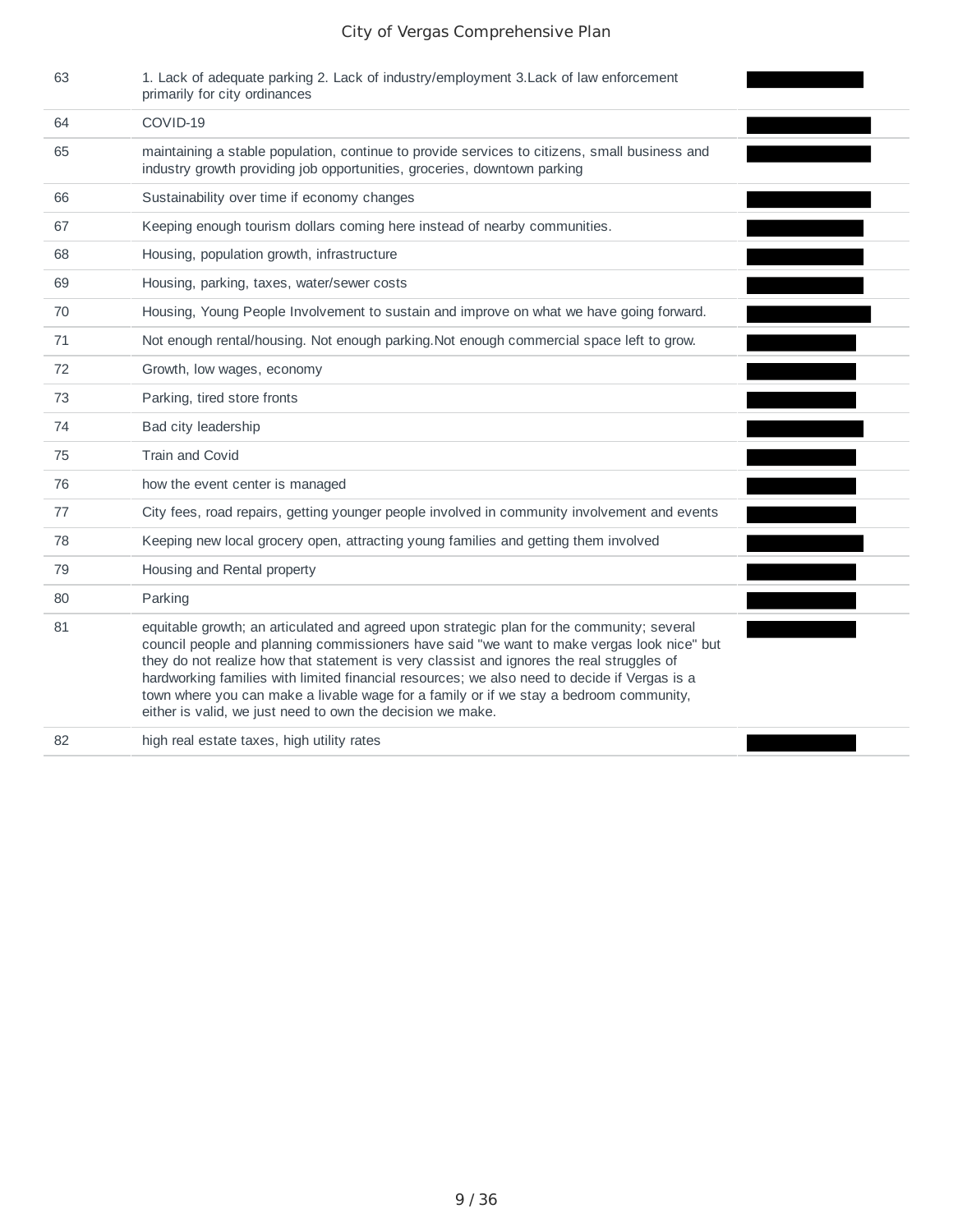| 63 | 1. Lack of adequate parking 2. Lack of industry/employment 3. Lack of law enforcement<br>primarily for city ordinances                                                                                                                                                                                                                                                                                                                                                                                                                        |  |
|----|-----------------------------------------------------------------------------------------------------------------------------------------------------------------------------------------------------------------------------------------------------------------------------------------------------------------------------------------------------------------------------------------------------------------------------------------------------------------------------------------------------------------------------------------------|--|
| 64 | COVID-19                                                                                                                                                                                                                                                                                                                                                                                                                                                                                                                                      |  |
| 65 | maintaining a stable population, continue to provide services to citizens, small business and<br>industry growth providing job opportunities, groceries, downtown parking                                                                                                                                                                                                                                                                                                                                                                     |  |
| 66 | Sustainability over time if economy changes                                                                                                                                                                                                                                                                                                                                                                                                                                                                                                   |  |
| 67 | Keeping enough tourism dollars coming here instead of nearby communities.                                                                                                                                                                                                                                                                                                                                                                                                                                                                     |  |
| 68 | Housing, population growth, infrastructure                                                                                                                                                                                                                                                                                                                                                                                                                                                                                                    |  |
| 69 | Housing, parking, taxes, water/sewer costs                                                                                                                                                                                                                                                                                                                                                                                                                                                                                                    |  |
| 70 | Housing, Young People Involvement to sustain and improve on what we have going forward.                                                                                                                                                                                                                                                                                                                                                                                                                                                       |  |
| 71 | Not enough rental/housing. Not enough parking. Not enough commercial space left to grow.                                                                                                                                                                                                                                                                                                                                                                                                                                                      |  |
| 72 | Growth, low wages, economy                                                                                                                                                                                                                                                                                                                                                                                                                                                                                                                    |  |
| 73 | Parking, tired store fronts                                                                                                                                                                                                                                                                                                                                                                                                                                                                                                                   |  |
| 74 | Bad city leadership                                                                                                                                                                                                                                                                                                                                                                                                                                                                                                                           |  |
| 75 | Train and Covid                                                                                                                                                                                                                                                                                                                                                                                                                                                                                                                               |  |
| 76 | how the event center is managed                                                                                                                                                                                                                                                                                                                                                                                                                                                                                                               |  |
| 77 | City fees, road repairs, getting younger people involved in community involvement and events                                                                                                                                                                                                                                                                                                                                                                                                                                                  |  |
| 78 | Keeping new local grocery open, attracting young families and getting them involved                                                                                                                                                                                                                                                                                                                                                                                                                                                           |  |
| 79 | Housing and Rental property                                                                                                                                                                                                                                                                                                                                                                                                                                                                                                                   |  |
| 80 | Parking                                                                                                                                                                                                                                                                                                                                                                                                                                                                                                                                       |  |
| 81 | equitable growth; an articulated and agreed upon strategic plan for the community; several<br>council people and planning commissioners have said "we want to make vergas look nice" but<br>they do not realize how that statement is very classist and ignores the real struggles of<br>hardworking families with limited financial resources; we also need to decide if Vergas is a<br>town where you can make a livable wage for a family or if we stay a bedroom community,<br>either is valid, we just need to own the decision we make. |  |
| 82 | high real estate taxes, high utility rates                                                                                                                                                                                                                                                                                                                                                                                                                                                                                                    |  |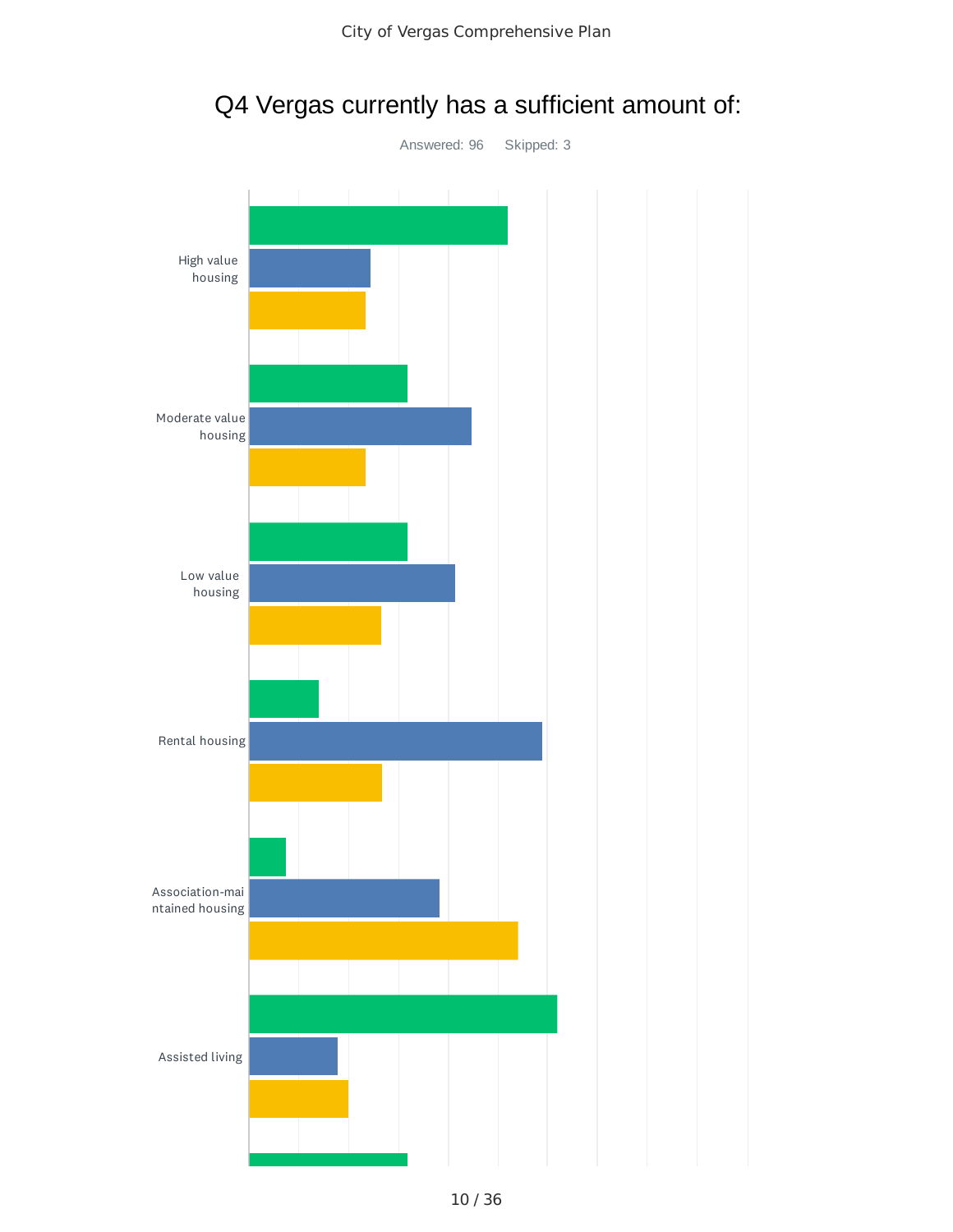

Q4 Vergas currently has a sufficient amount of: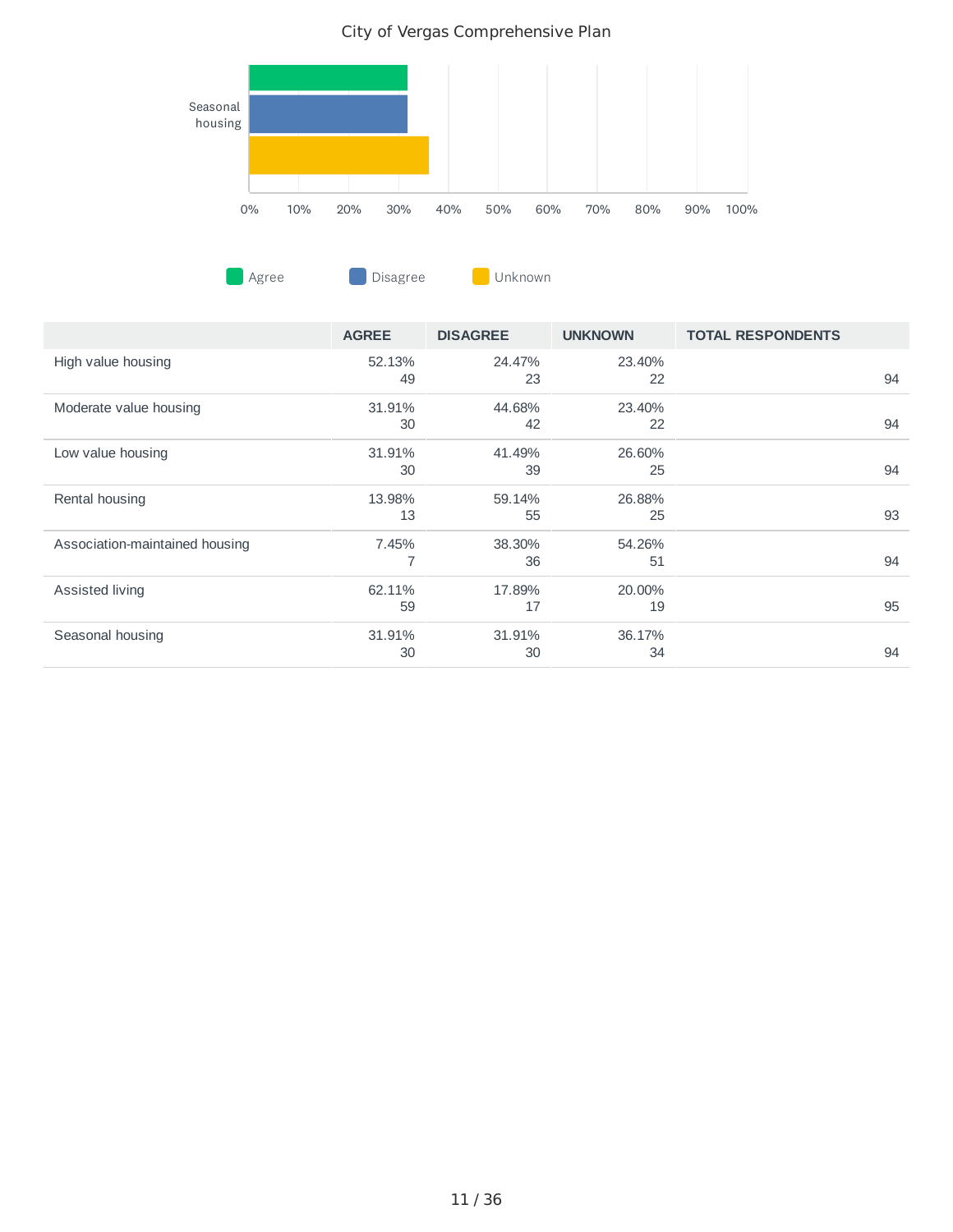

**CONFIDENTIAGTER Disagree Disagree Unknown** 

|                                | <b>AGREE</b> | <b>DISAGREE</b> | <b>UNKNOWN</b> | <b>TOTAL RESPONDENTS</b> |
|--------------------------------|--------------|-----------------|----------------|--------------------------|
| High value housing             | 52.13%<br>49 | 24.47%<br>23    | 23.40%<br>22   | 94                       |
| Moderate value housing         | 31.91%<br>30 | 44.68%<br>42    | 23.40%<br>22   | 94                       |
| Low value housing              | 31.91%<br>30 | 41.49%<br>39    | 26.60%<br>25   | 94                       |
| Rental housing                 | 13.98%<br>13 | 59.14%<br>55    | 26.88%<br>25   | 93                       |
| Association-maintained housing | 7.45%        | 38.30%<br>36    | 54.26%<br>51   | 94                       |
| Assisted living                | 62.11%<br>59 | 17.89%<br>17    | 20.00%<br>19   | 95                       |
| Seasonal housing               | 31.91%<br>30 | 31.91%<br>30    | 36.17%<br>34   | 94                       |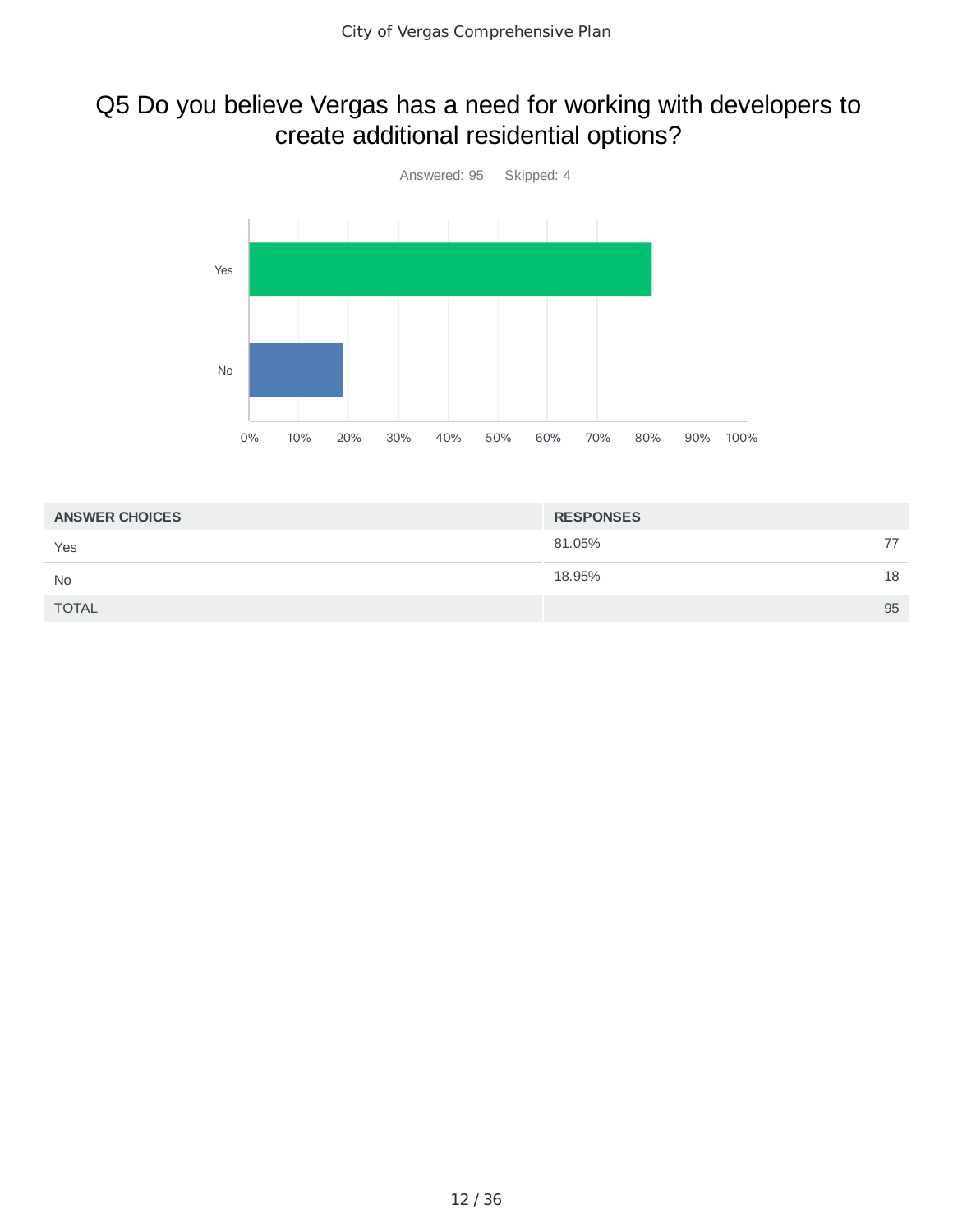## Q5 Do you believe Vergas has a need for working with developers to create additional residential options?



| <b>ANSWER CHOICES</b> | <b>RESPONSES</b> |    |
|-----------------------|------------------|----|
| Yes                   | 81.05%           | 77 |
| <b>No</b>             | 18.95%           | 18 |
| <b>TOTAL</b>          |                  | 95 |
|                       |                  |    |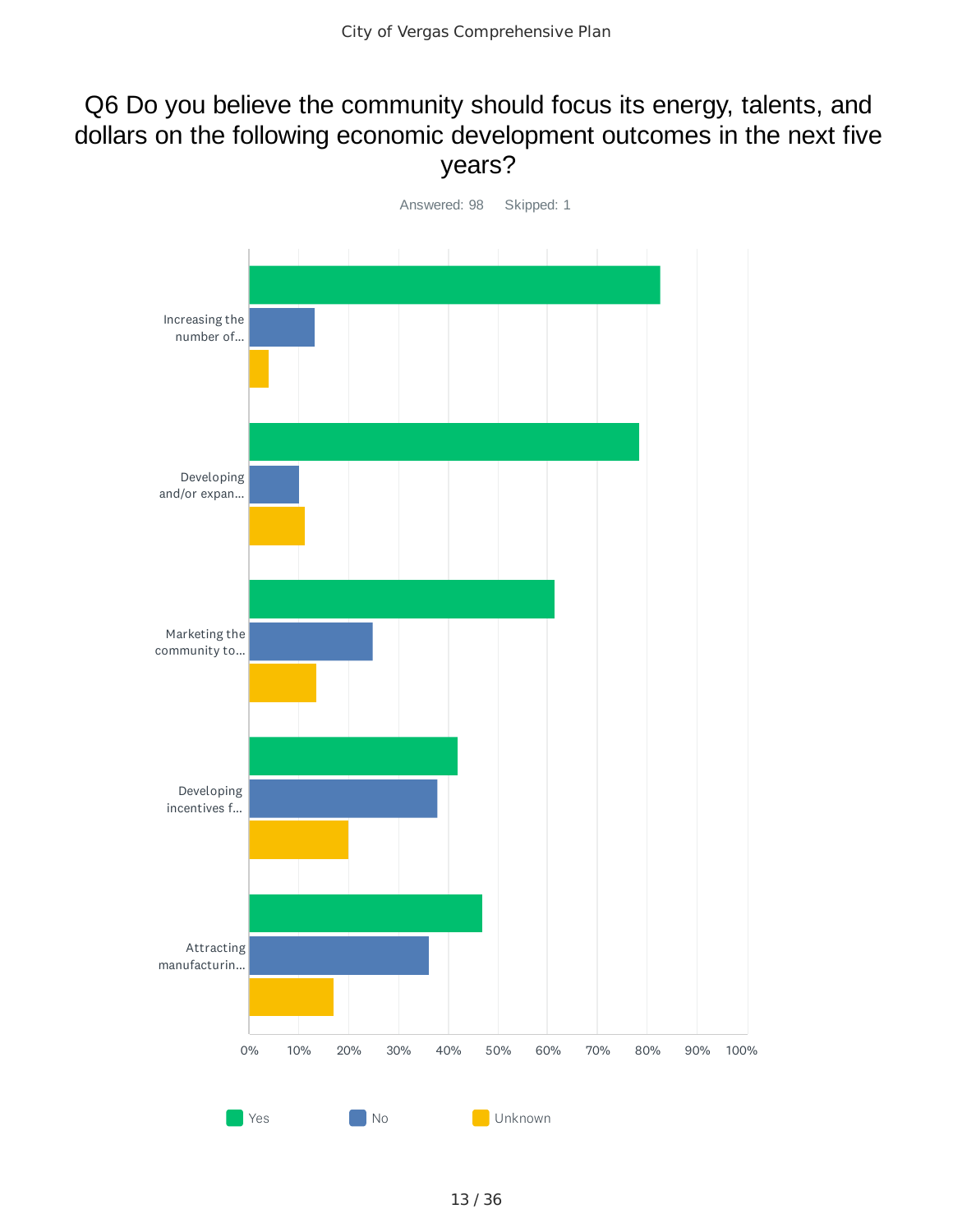## Q6 Do you believe the community should focus its energy, talents, and dollars on the following economic development outcomes in the next five years?

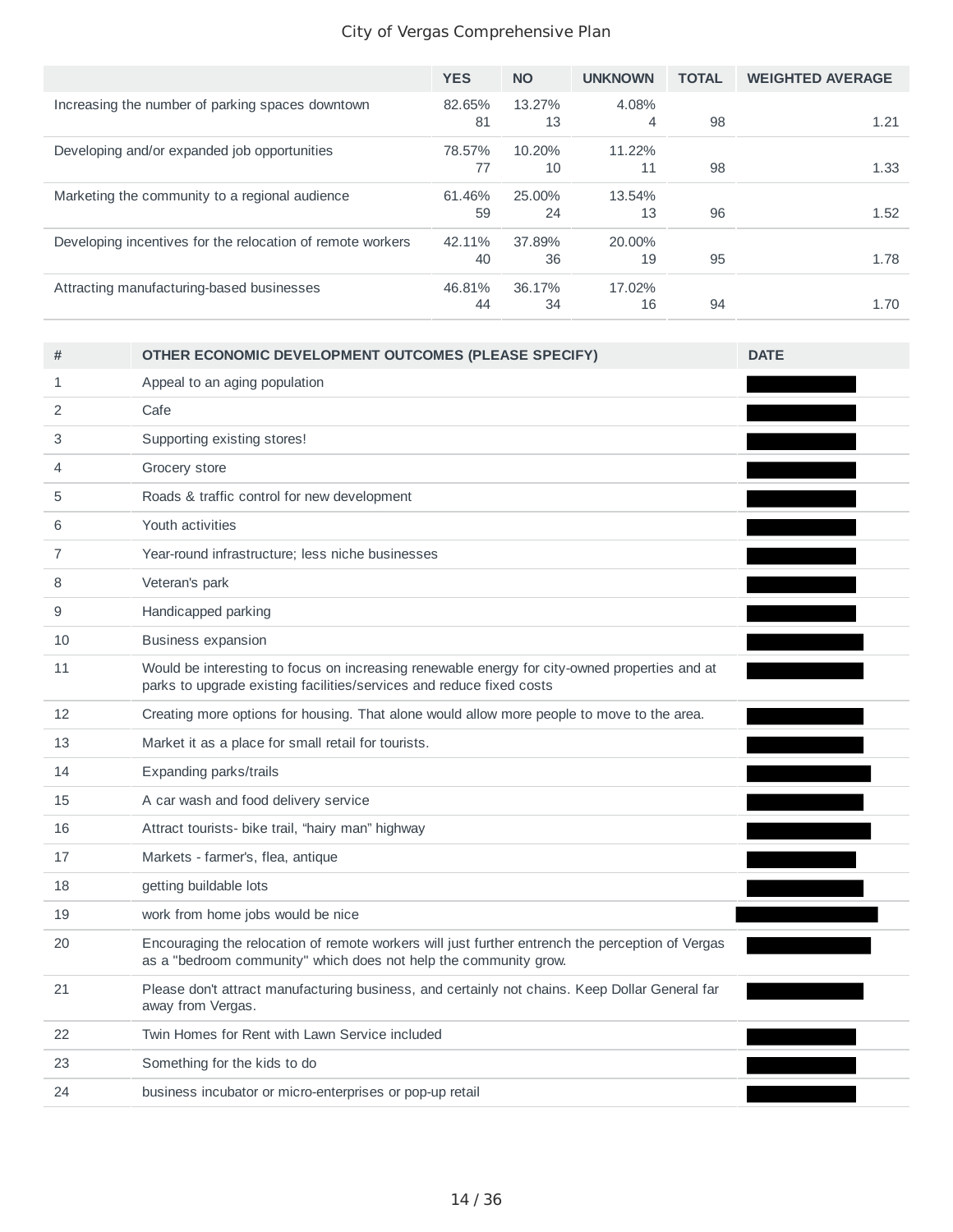|                                                            | <b>YES</b> | <b>NO</b> | <b>UNKNOWN</b> | <b>TOTAL</b> | <b>WEIGHTED AVERAGE</b> |
|------------------------------------------------------------|------------|-----------|----------------|--------------|-------------------------|
| Increasing the number of parking spaces downtown           | 82.65%     | 13.27%    | 4.08%          |              |                         |
|                                                            | 81         | 13        | 4              | 98           | 1.21                    |
| Developing and/or expanded job opportunities               | 78.57%     | 10.20%    | 11.22%         |              |                         |
|                                                            | 77         | 10        | 11             | 98           | 1.33                    |
| Marketing the community to a regional audience             | 61.46%     | 25.00%    | 13.54%         |              |                         |
|                                                            | 59         | 24        | 13             | 96           | 1.52                    |
| Developing incentives for the relocation of remote workers | 42.11%     | 37.89%    | 20.00%         |              |                         |
|                                                            | 40         | 36        | 19             | 95           | 1.78                    |
| Attracting manufacturing-based businesses                  | 46.81%     | 36.17%    | 17.02%         |              |                         |
|                                                            | 44         | 34        | 16             | 94           | 1.70                    |

| #              | OTHER ECONOMIC DEVELOPMENT OUTCOMES (PLEASE SPECIFY)                                                                                                                  | <b>DATE</b> |
|----------------|-----------------------------------------------------------------------------------------------------------------------------------------------------------------------|-------------|
| 1              | Appeal to an aging population                                                                                                                                         |             |
| 2              | Cafe                                                                                                                                                                  |             |
| 3              | Supporting existing stores!                                                                                                                                           |             |
| $\overline{4}$ | Grocery store                                                                                                                                                         |             |
| 5              | Roads & traffic control for new development                                                                                                                           |             |
| 6              | Youth activities                                                                                                                                                      |             |
| 7              | Year-round infrastructure; less niche businesses                                                                                                                      |             |
| 8              | Veteran's park                                                                                                                                                        |             |
| 9              | Handicapped parking                                                                                                                                                   |             |
| 10             | <b>Business expansion</b>                                                                                                                                             |             |
| 11             | Would be interesting to focus on increasing renewable energy for city-owned properties and at<br>parks to upgrade existing facilities/services and reduce fixed costs |             |
| 12             | Creating more options for housing. That alone would allow more people to move to the area.                                                                            |             |
| 13             | Market it as a place for small retail for tourists.                                                                                                                   |             |
| 14             | Expanding parks/trails                                                                                                                                                |             |
| 15             | A car wash and food delivery service                                                                                                                                  |             |
| 16             | Attract tourists- bike trail, "hairy man" highway                                                                                                                     |             |
| 17             | Markets - farmer's, flea, antique                                                                                                                                     |             |
| 18             | getting buildable lots                                                                                                                                                |             |
| 19             | work from home jobs would be nice                                                                                                                                     |             |
| 20             | Encouraging the relocation of remote workers will just further entrench the perception of Vergas<br>as a "bedroom community" which does not help the community grow.  |             |
| 21             | Please don't attract manufacturing business, and certainly not chains. Keep Dollar General far<br>away from Vergas.                                                   |             |
| 22             | Twin Homes for Rent with Lawn Service included                                                                                                                        |             |
| 23             | Something for the kids to do                                                                                                                                          |             |
| 24             | business incubator or micro-enterprises or pop-up retail                                                                                                              |             |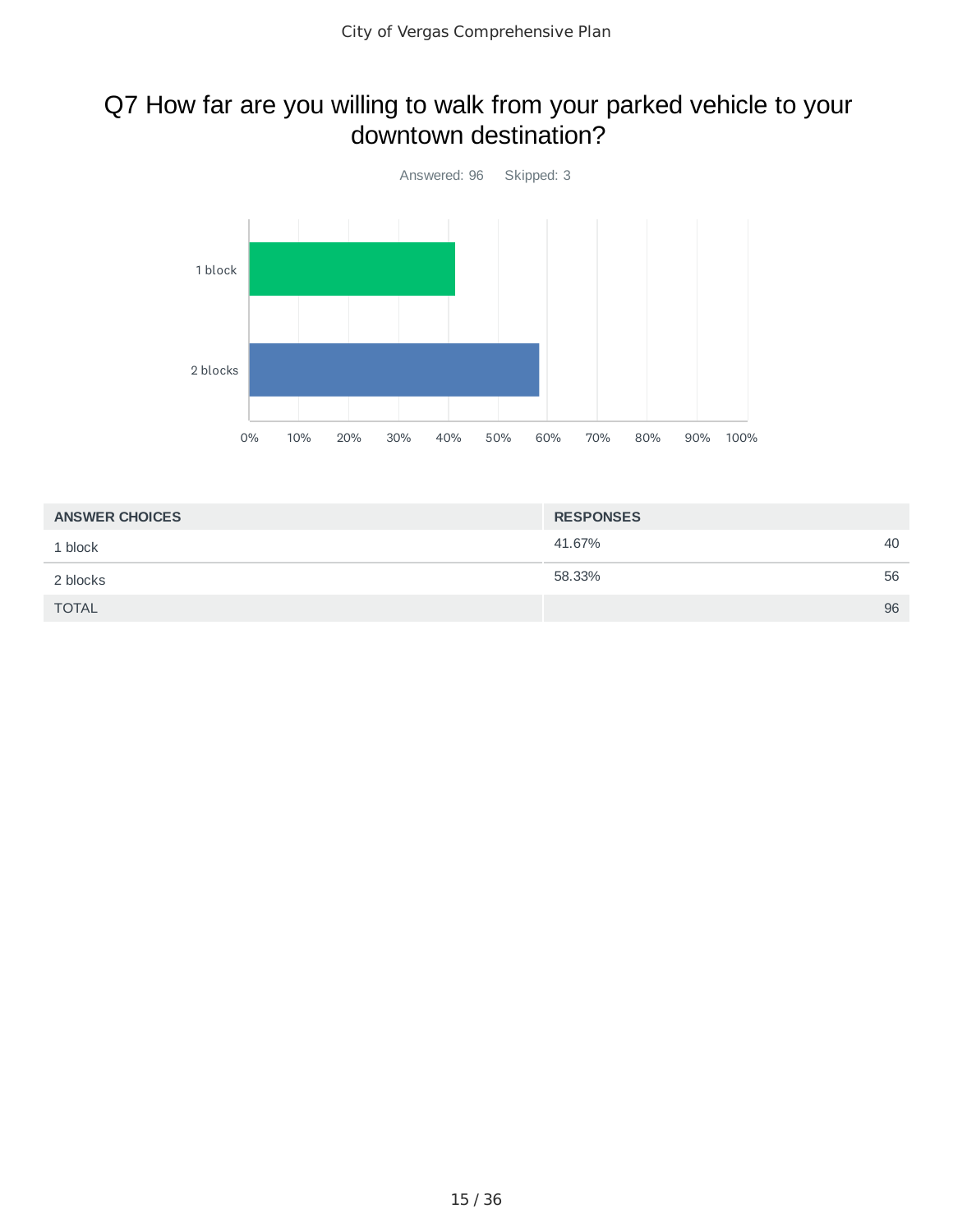## Q7 How far are you willing to walk from your parked vehicle to your downtown destination?



| <b>ANSWER CHOICES</b> | <b>RESPONSES</b> |    |
|-----------------------|------------------|----|
| 1 block               | 41.67%           | 40 |
| 2 blocks              | 58.33%           | 56 |
| <b>TOTAL</b>          |                  | 96 |
|                       |                  |    |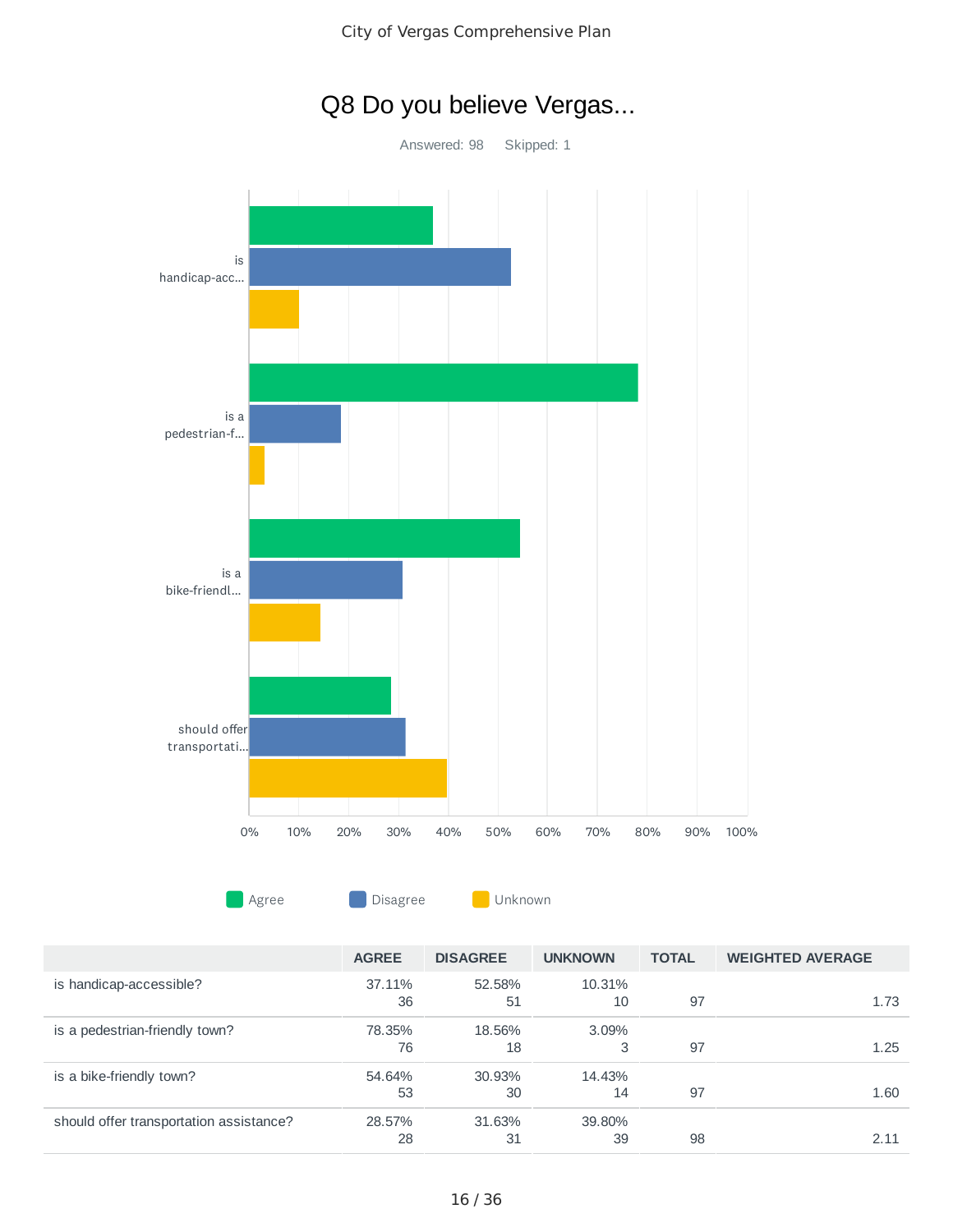

# Q8 Do you believe Vergas...

|                                         | <b>AGREE</b> | <b>DISAGREE</b> | <b>UNKNOWN</b> | <b>TOTAL</b> | <b>WEIGHTED AVERAGE</b> |
|-----------------------------------------|--------------|-----------------|----------------|--------------|-------------------------|
| is handicap-accessible?                 | 37.11%       | 52.58%          | 10.31%         |              |                         |
|                                         | 36           | 51              | 10             | 97           | 1.73                    |
| is a pedestrian-friendly town?          | 78.35%       | 18.56%          | $3.09\%$       |              |                         |
|                                         | 76           | 18              | 3              | 97           | 1.25                    |
| is a bike-friendly town?                | 54.64%       | 30.93%          | 14.43%         |              |                         |
|                                         | 53           | 30              | 14             | 97           | 1.60                    |
| should offer transportation assistance? | 28.57%       | 31.63%          | 39.80%         |              |                         |
|                                         | 28           | 31              | 39             | 98           | 2.11                    |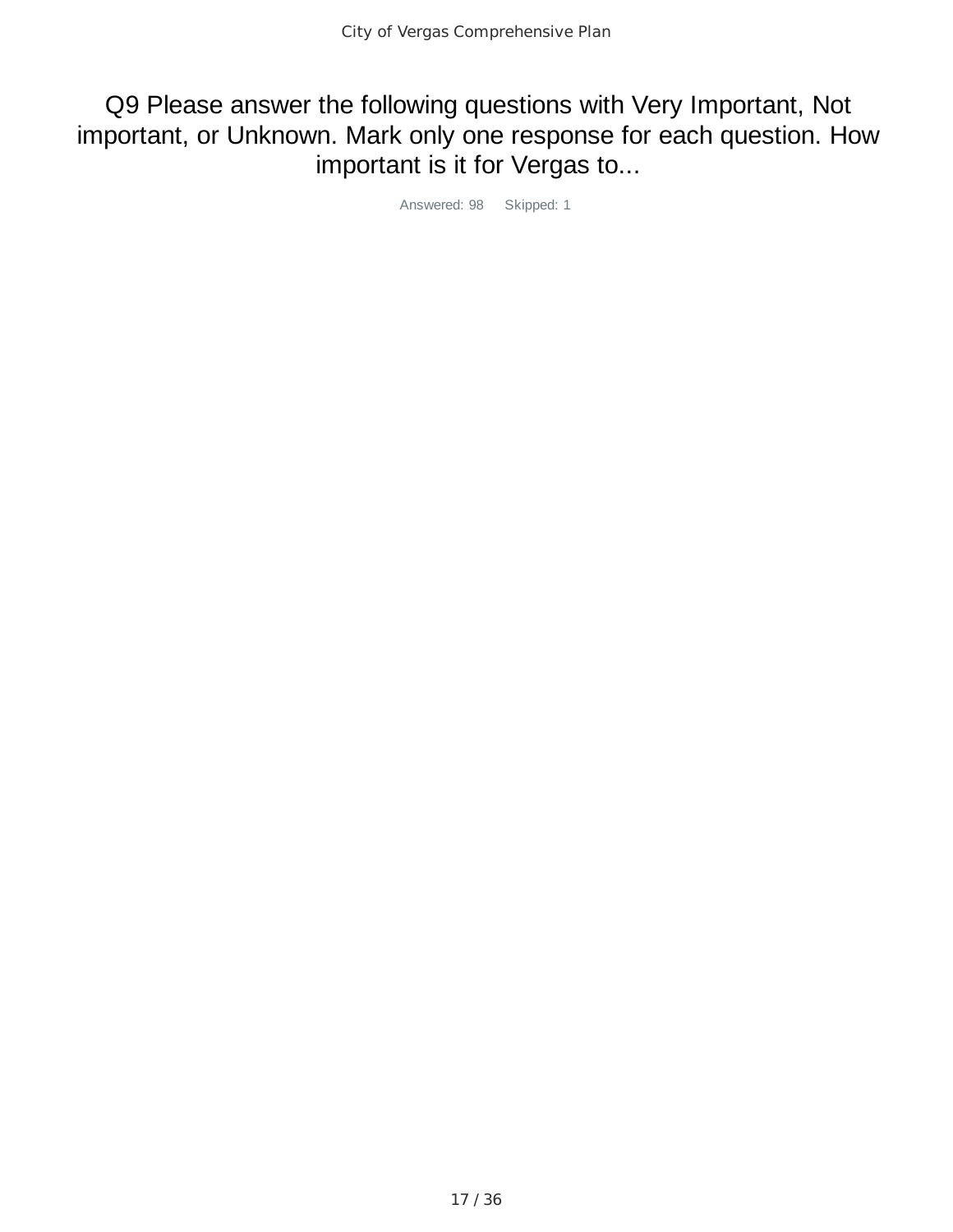Q9 Please answer the following questions with Very Important, Not important, or Unknown. Mark only one response for each question. How important is it for Vergas to...

Answered: 98 Skipped: 1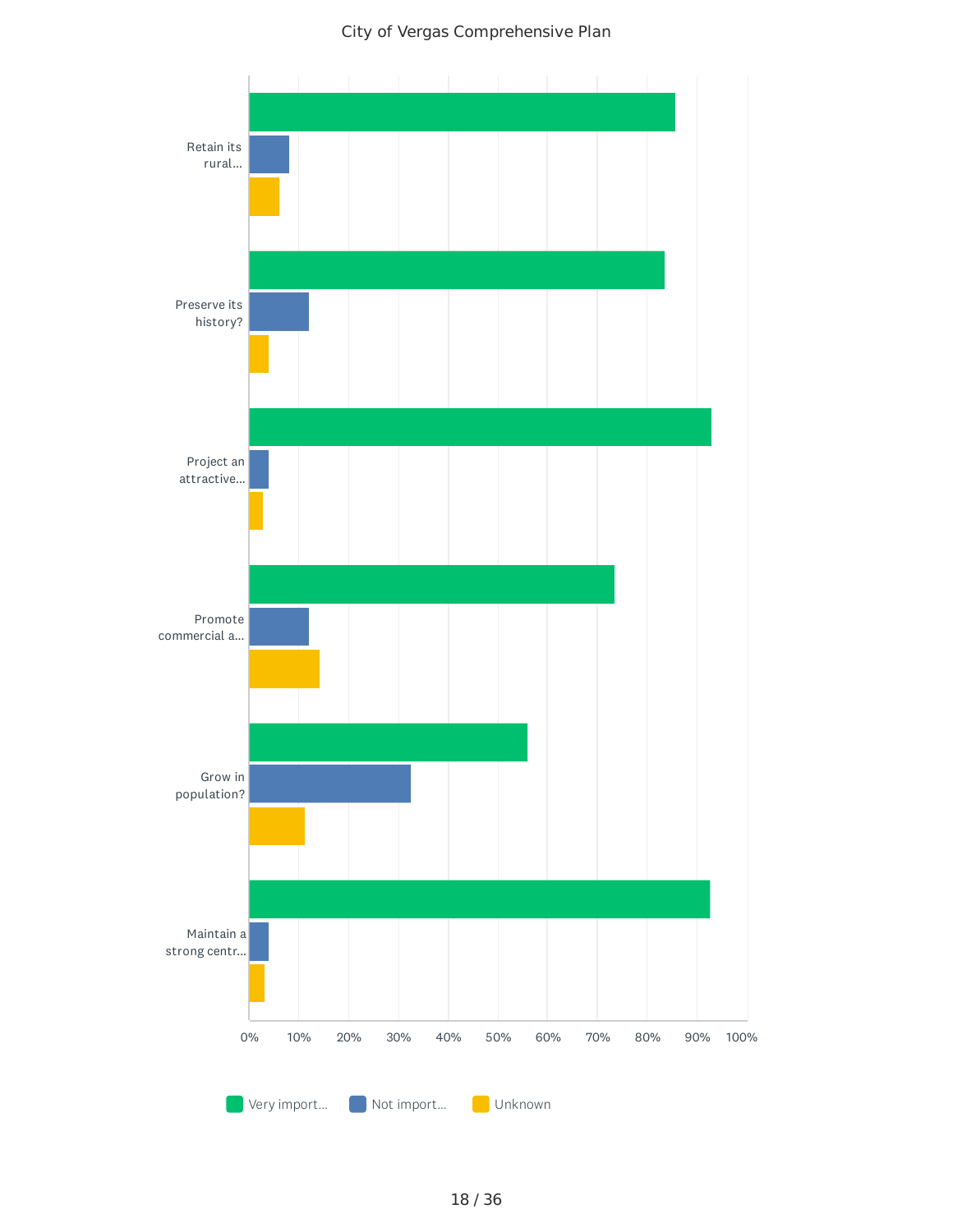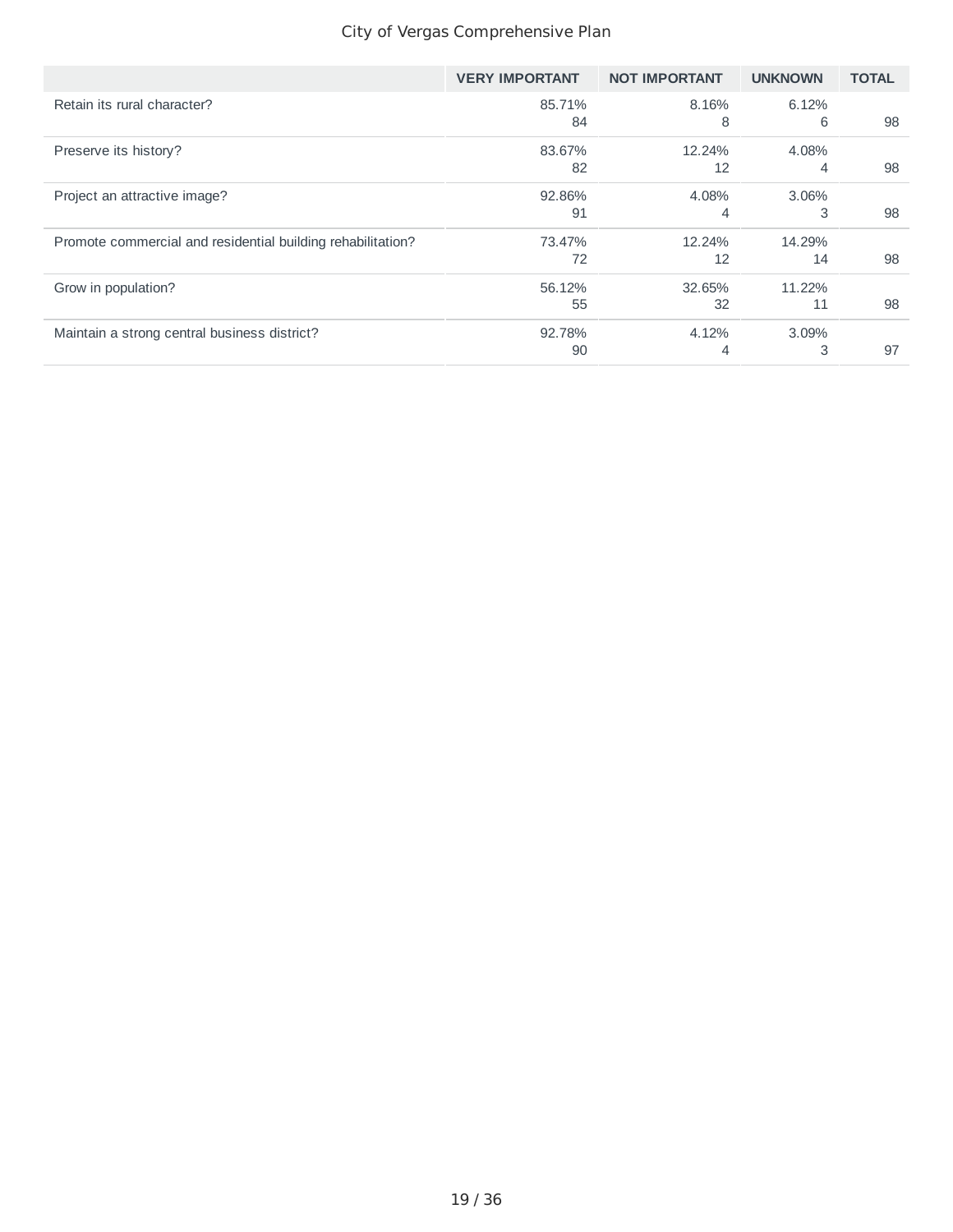|                                                             | <b>VERY IMPORTANT</b> | <b>NOT IMPORTANT</b> | <b>UNKNOWN</b> | <b>TOTAL</b> |
|-------------------------------------------------------------|-----------------------|----------------------|----------------|--------------|
| Retain its rural character?                                 | 85.71%                | 8.16%                | 6.12%          |              |
|                                                             | 84                    | 8                    | 6              | 98           |
| Preserve its history?                                       | 83.67%                | 12.24%               | 4.08%          |              |
|                                                             | 82                    | 12                   | 4              | 98           |
| Project an attractive image?                                | 92.86%                | 4.08%                | 3.06%          |              |
|                                                             | 91                    | 4                    | 3              | 98           |
| Promote commercial and residential building rehabilitation? | 73.47%                | 12.24%               | 14.29%         |              |
|                                                             | 72                    | 12                   | 14             | 98           |
| Grow in population?                                         | 56.12%                | 32.65%               | 11.22%         |              |
|                                                             | 55                    | 32                   | 11             | 98           |
| Maintain a strong central business district?                | 92.78%                | 4.12%                | 3.09%          |              |
|                                                             | 90                    | 4                    | 3              | 97           |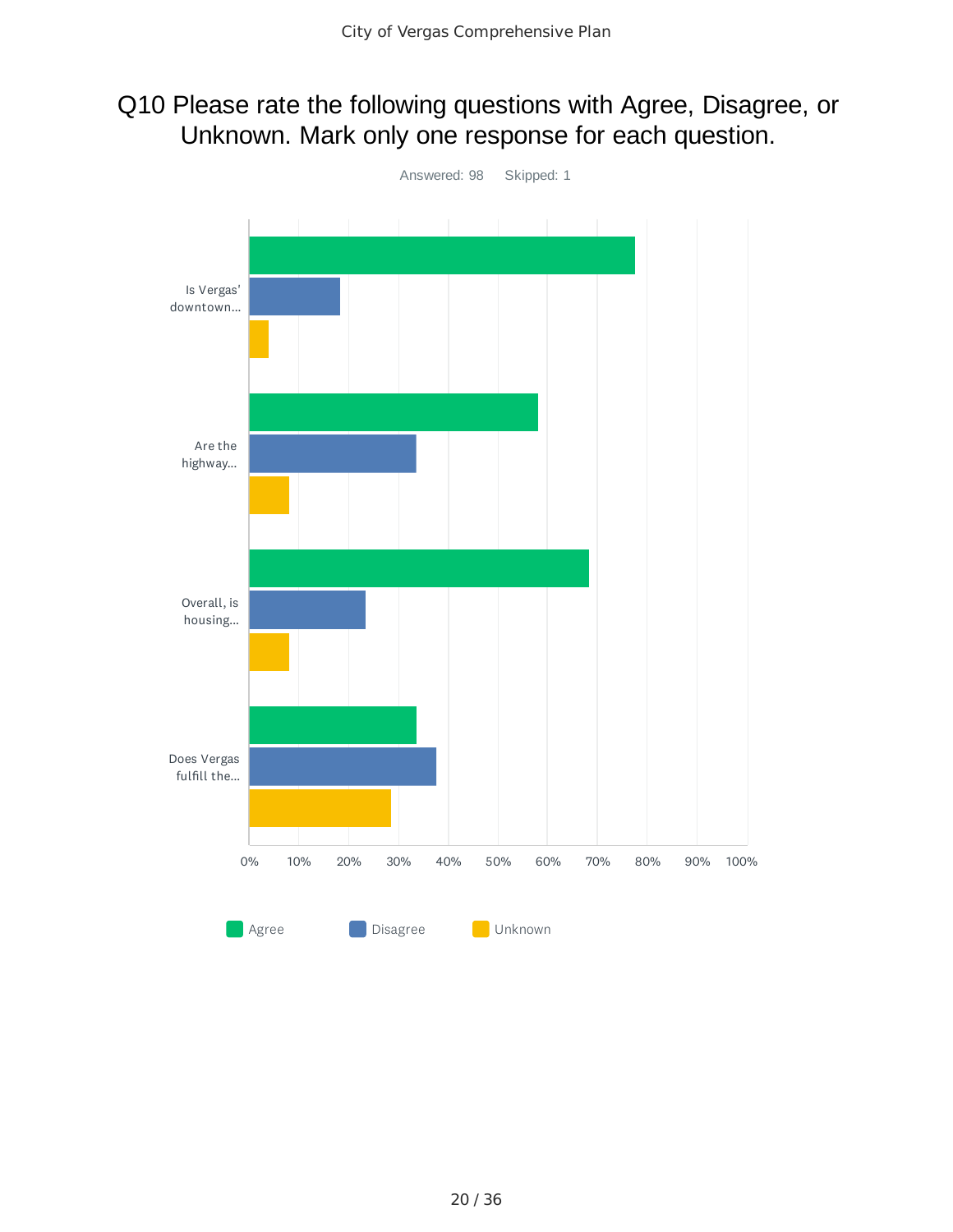## Q10 Please rate the following questions with Agree, Disagree, or Unknown. Mark only one response for each question.

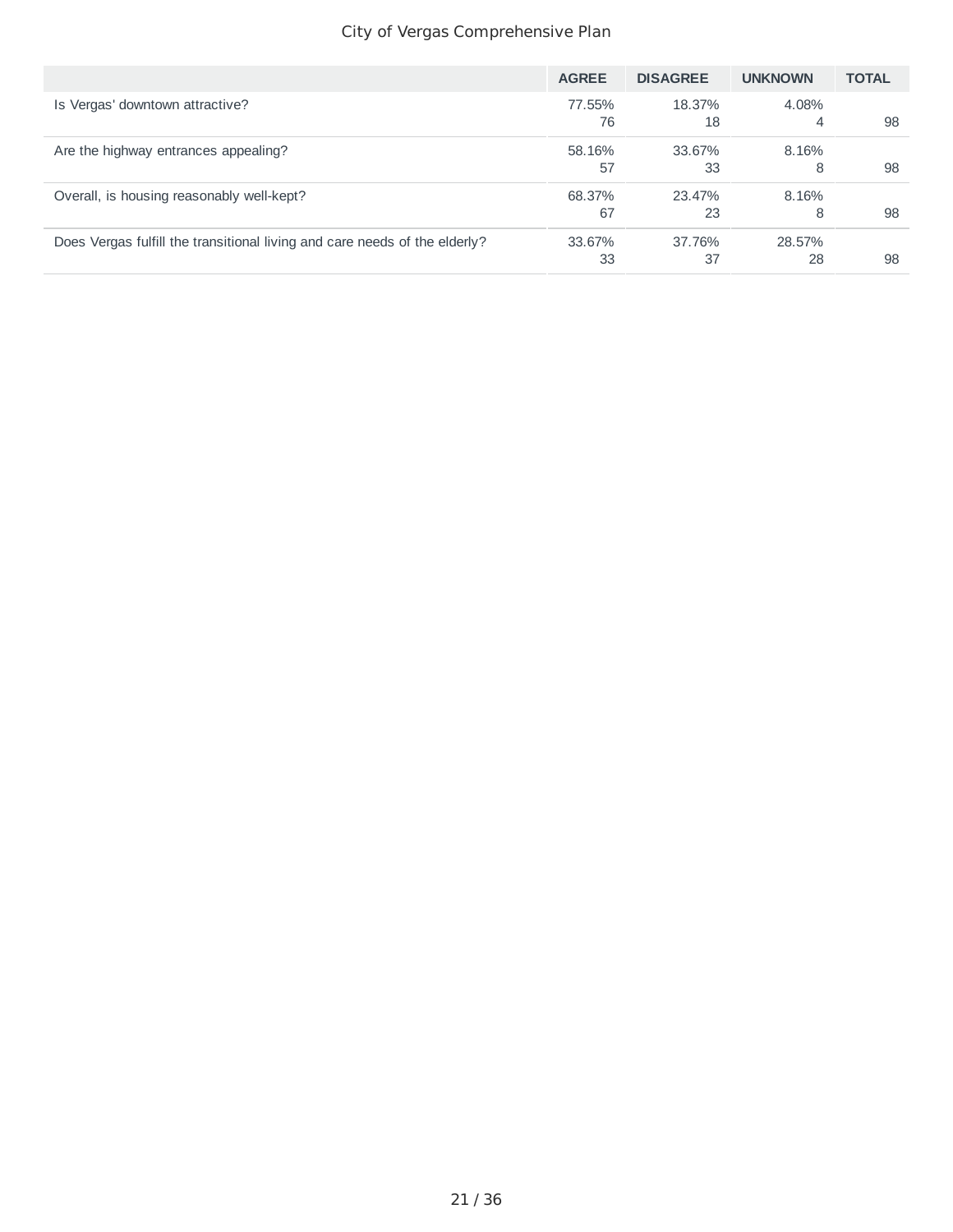|                                                                            | <b>AGREE</b> | <b>DISAGREE</b> | <b>UNKNOWN</b> | <b>TOTAL</b> |
|----------------------------------------------------------------------------|--------------|-----------------|----------------|--------------|
| Is Vergas' downtown attractive?                                            | 77.55%       | 18.37%          | 4.08%          |              |
|                                                                            | 76           | 18              | 4              | 98           |
| Are the highway entrances appealing?                                       | 58.16%       | 33.67%          | 8.16%          |              |
|                                                                            | 57           | 33              | 8              | 98           |
| Overall, is housing reasonably well-kept?                                  | 68.37%       | 23.47%          | 8.16%          |              |
|                                                                            | 67           | 23              | 8              | 98           |
| Does Vergas fulfill the transitional living and care needs of the elderly? | 33.67%       | 37.76%          | 28.57%         |              |
|                                                                            | 33           | 37              | 28             | 98           |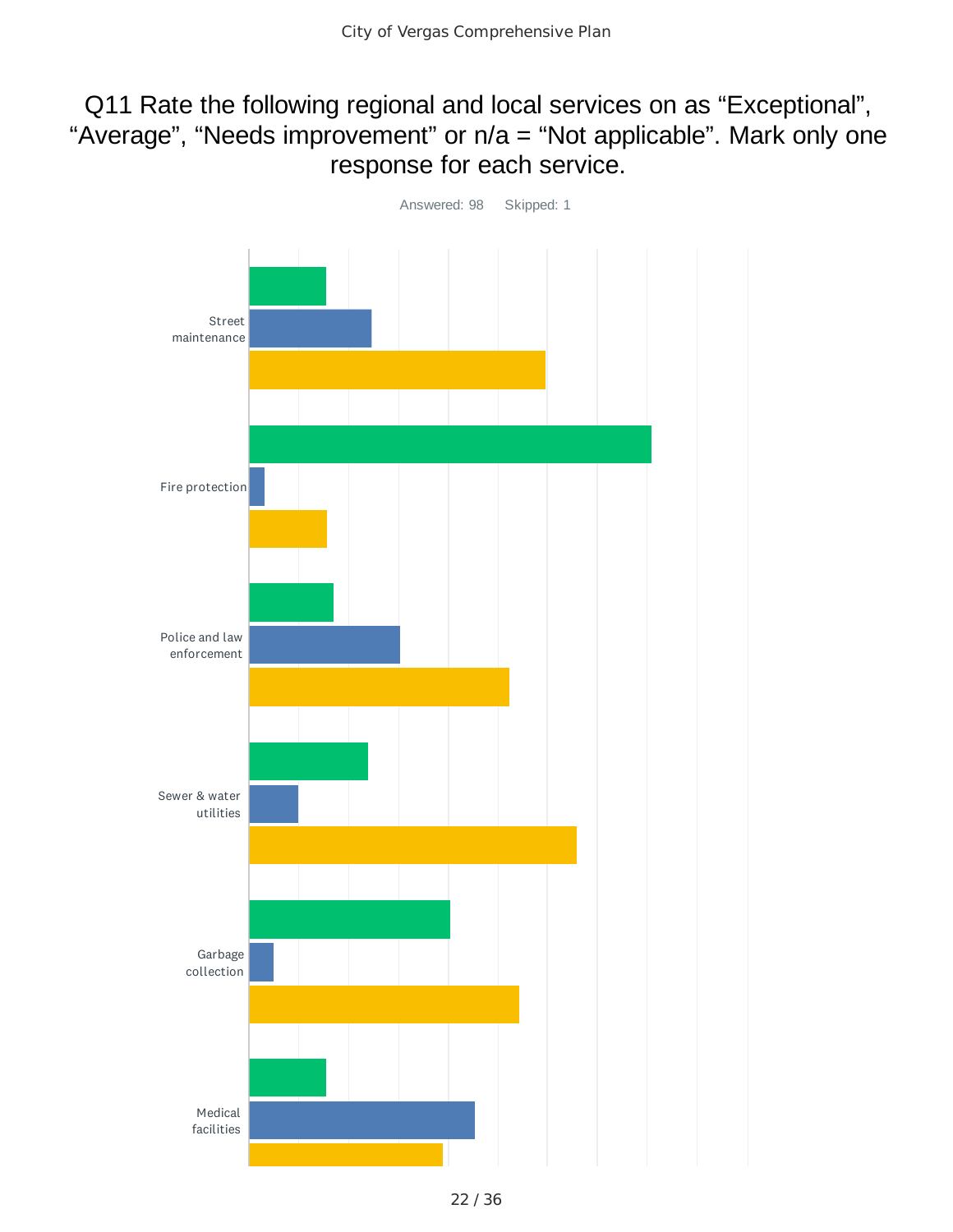## Q11 Rate the following regional and local services on as "Exceptional", "Average", "Needs improvement" or n/a = "Not applicable". Mark only one response for each service.

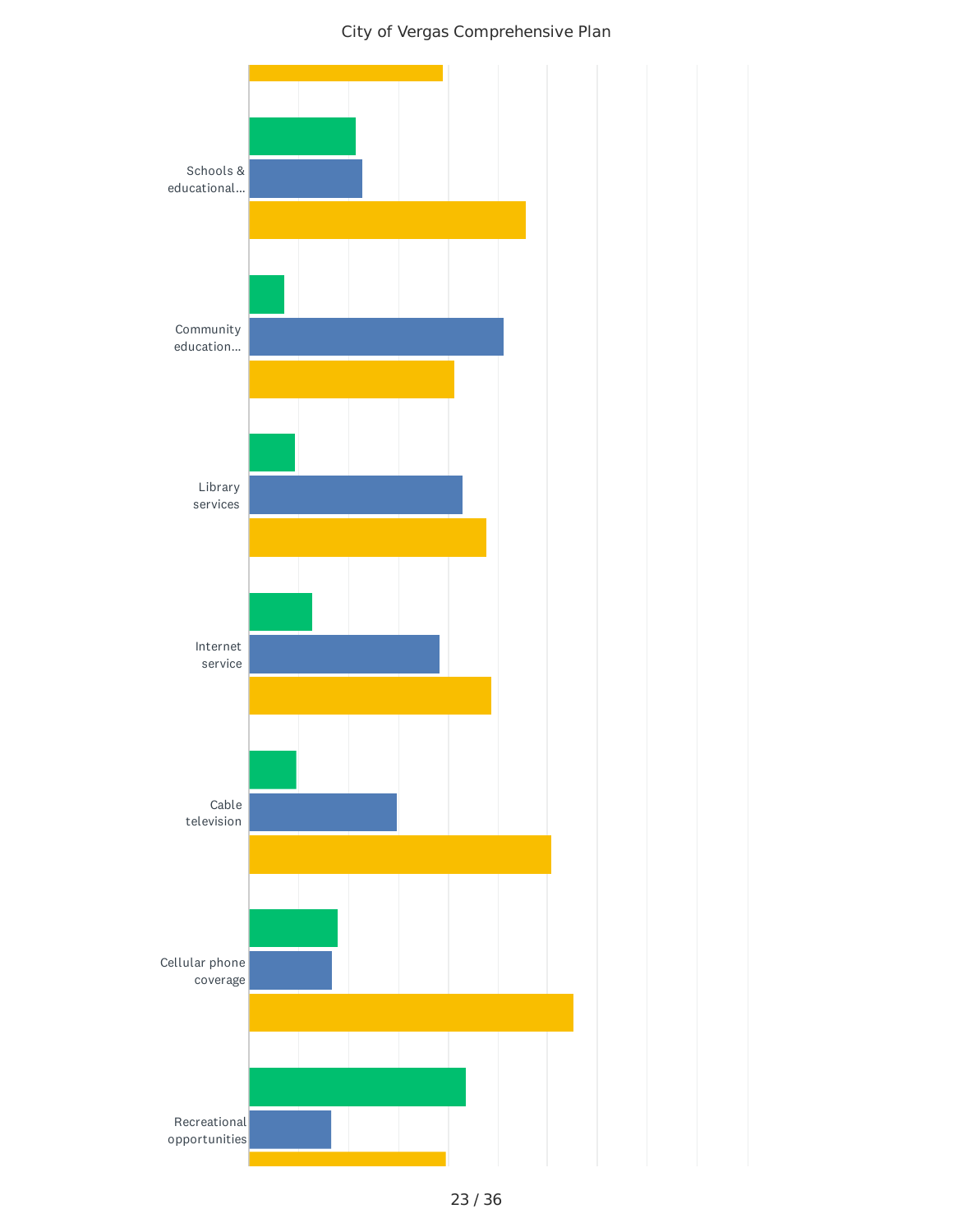

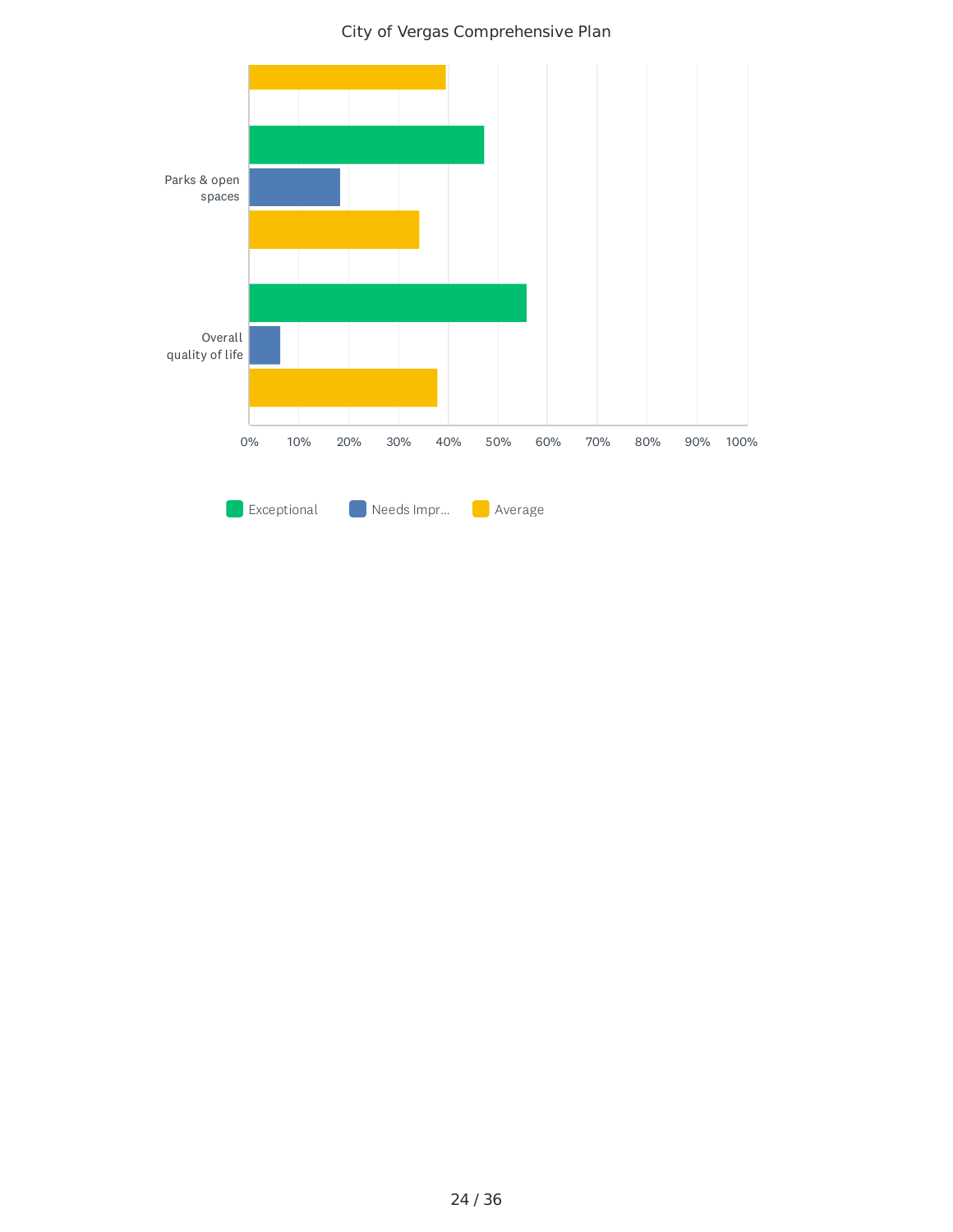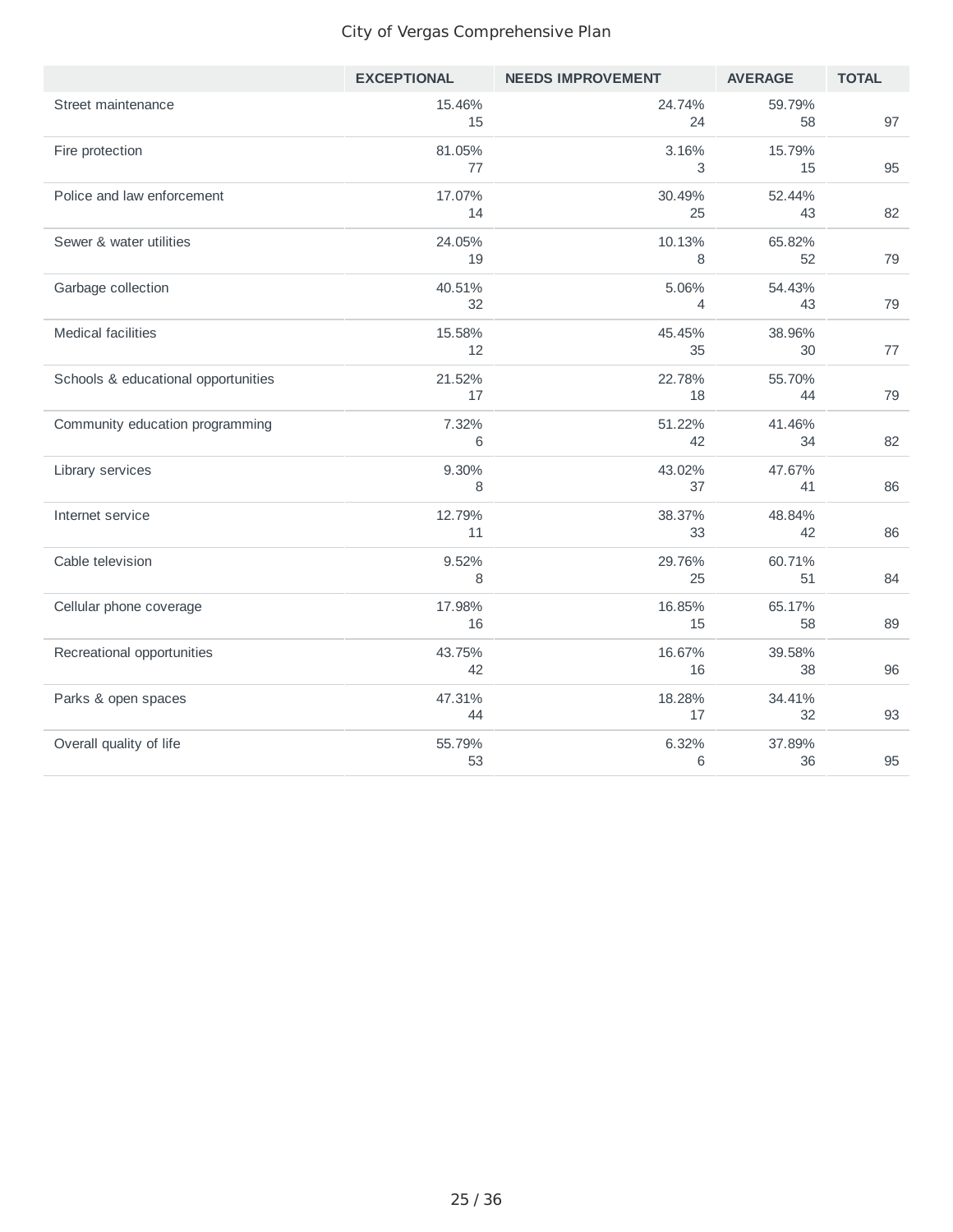|                                     | <b>EXCEPTIONAL</b> | <b>NEEDS IMPROVEMENT</b> | <b>AVERAGE</b> | <b>TOTAL</b> |
|-------------------------------------|--------------------|--------------------------|----------------|--------------|
| Street maintenance                  | 15.46%<br>15       | 24.74%<br>24             | 59.79%<br>58   | 97           |
| Fire protection                     | 81.05%<br>77       | 3.16%<br>3               | 15.79%<br>15   | 95           |
| Police and law enforcement          | 17.07%<br>14       | 30.49%<br>25             | 52.44%<br>43   | 82           |
| Sewer & water utilities             | 24.05%<br>19       | 10.13%<br>8              | 65.82%<br>52   | 79           |
| Garbage collection                  | 40.51%<br>32       | 5.06%<br>4               | 54.43%<br>43   | 79           |
| <b>Medical facilities</b>           | 15.58%<br>12       | 45.45%<br>35             | 38.96%<br>30   | 77           |
| Schools & educational opportunities | 21.52%<br>17       | 22.78%<br>18             | 55.70%<br>44   | 79           |
| Community education programming     | 7.32%<br>6         | 51.22%<br>42             | 41.46%<br>34   | 82           |
| Library services                    | 9.30%<br>8         | 43.02%<br>37             | 47.67%<br>41   | 86           |
| Internet service                    | 12.79%<br>11       | 38.37%<br>33             | 48.84%<br>42   | 86           |
| Cable television                    | 9.52%<br>8         | 29.76%<br>25             | 60.71%<br>51   | 84           |
| Cellular phone coverage             | 17.98%<br>16       | 16.85%<br>15             | 65.17%<br>58   | 89           |
| Recreational opportunities          | 43.75%<br>42       | 16.67%<br>16             | 39.58%<br>38   | 96           |
| Parks & open spaces                 | 47.31%<br>44       | 18.28%<br>17             | 34.41%<br>32   | 93           |
| Overall quality of life             | 55.79%<br>53       | 6.32%<br>6               | 37.89%<br>36   | 95           |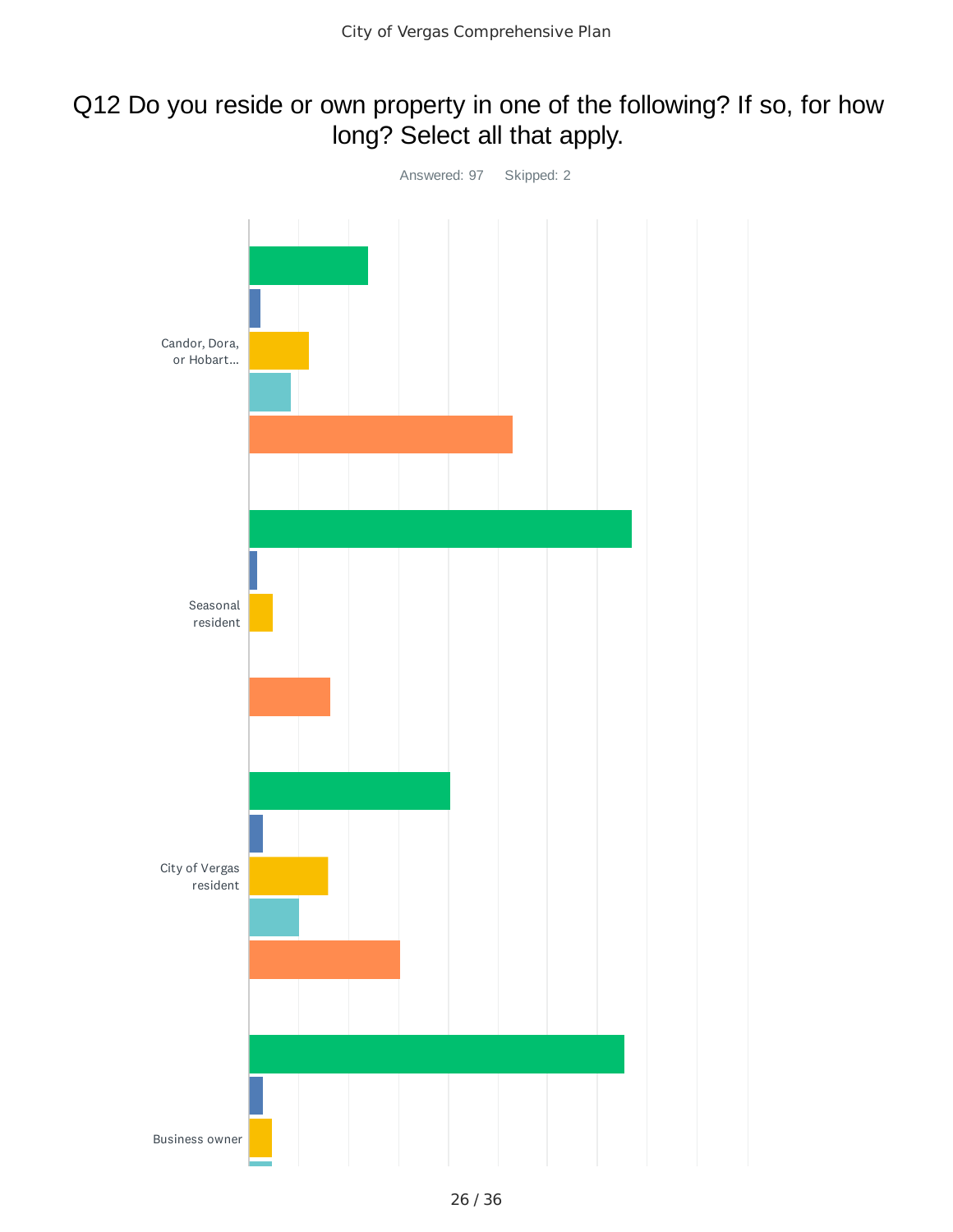## Q12 Do you reside or own property in one of the following? If so, for how long? Select all that apply.

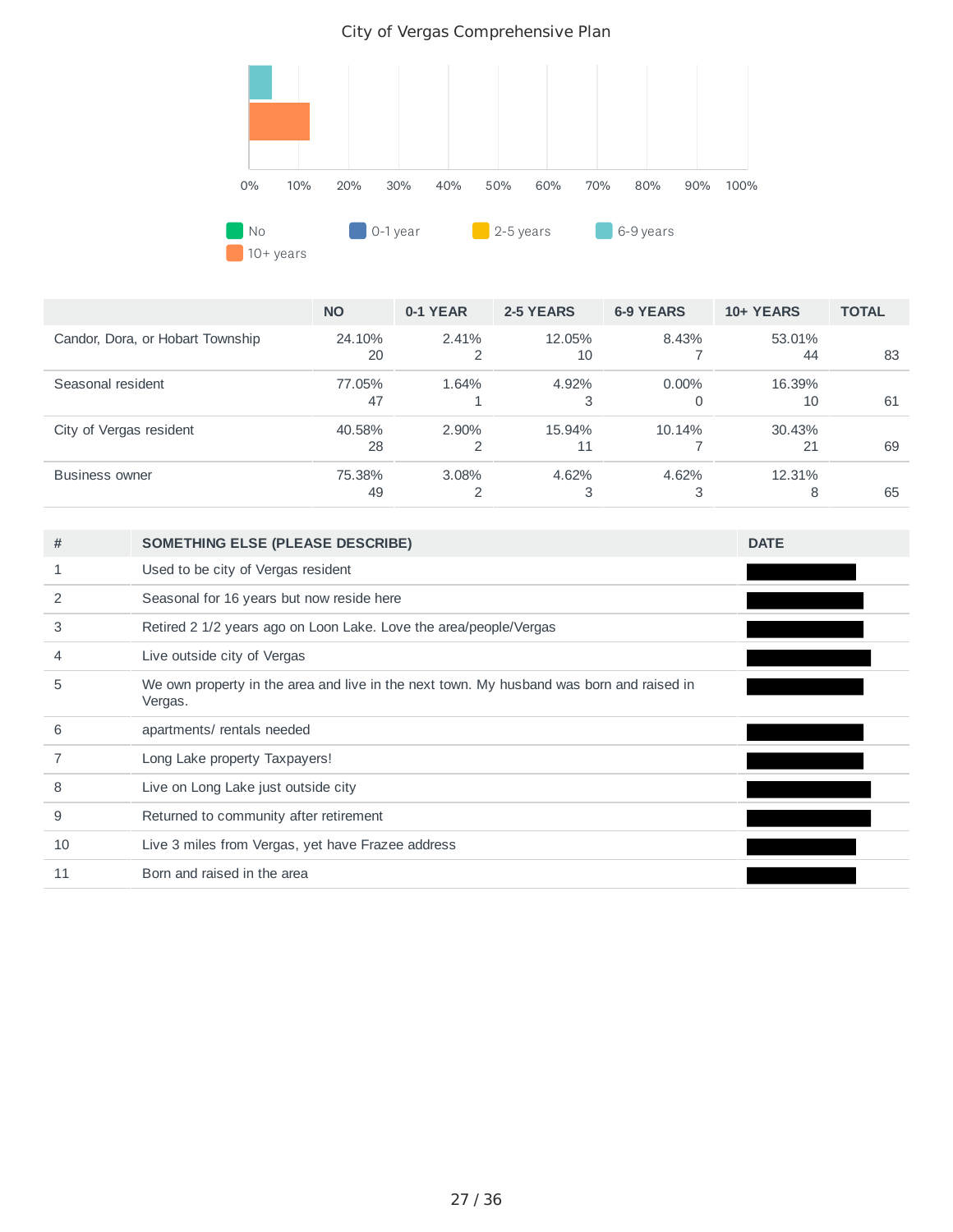

|                                  | <b>NO</b>    | 0-1 YEAR | 2-5 YEARS    | <b>6-9 YEARS</b> | 10+ YEARS    | <b>TOTAL</b> |
|----------------------------------|--------------|----------|--------------|------------------|--------------|--------------|
| Candor, Dora, or Hobart Township | 24.10%<br>20 | 2.41%    | 12.05%<br>10 | 8.43%            | 53.01%<br>44 | 83           |
| Seasonal resident                | 77.05%<br>47 | 1.64%    | 4.92%<br>3   | $0.00\%$<br>0    | 16.39%<br>10 | 61           |
| City of Vergas resident          | 40.58%<br>28 | $2.90\%$ | 15.94%<br>11 | 10.14%           | 30.43%<br>21 | 69           |
| <b>Business owner</b>            | 75.38%<br>49 | $3.08\%$ | 4.62%<br>3   | 4.62%<br>3       | 12.31%<br>8  | 65           |

| #  | <b>SOMETHING ELSE (PLEASE DESCRIBE)</b>                                                             | <b>DATE</b> |
|----|-----------------------------------------------------------------------------------------------------|-------------|
|    | Used to be city of Vergas resident                                                                  |             |
| 2  | Seasonal for 16 years but now reside here                                                           |             |
| 3  | Retired 2 1/2 years ago on Loon Lake. Love the area/people/Vergas                                   |             |
| 4  | Live outside city of Vergas                                                                         |             |
| 5  | We own property in the area and live in the next town. My husband was born and raised in<br>Vergas. |             |
| 6  | apartments/ rentals needed                                                                          |             |
|    | Long Lake property Taxpayers!                                                                       |             |
| 8  | Live on Long Lake just outside city                                                                 |             |
| 9  | Returned to community after retirement                                                              |             |
| 10 | Live 3 miles from Vergas, yet have Frazee address                                                   |             |
| 11 | Born and raised in the area                                                                         |             |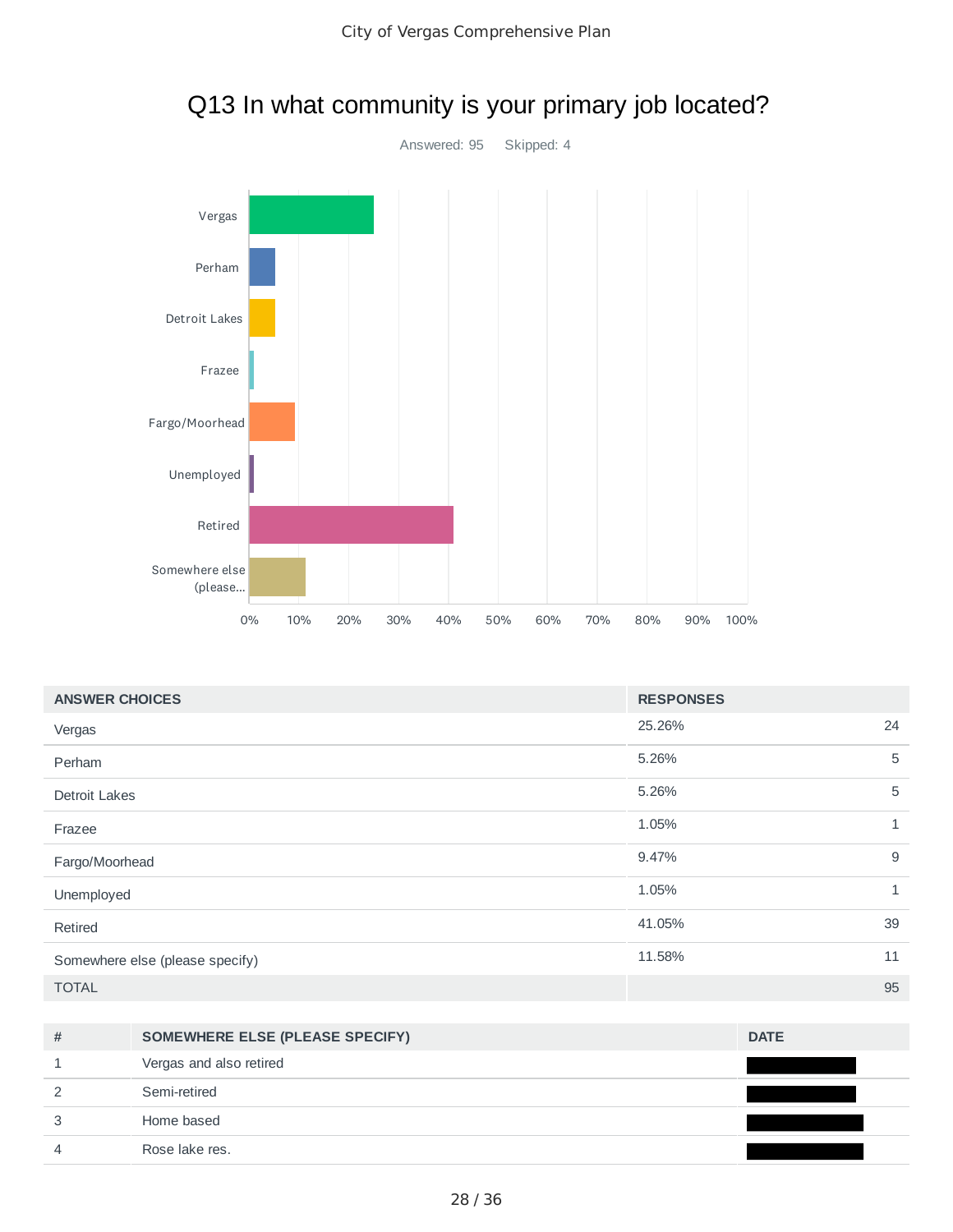

## Q13 In what community is your primary job located?

| <b>ANSWER CHOICES</b>           | <b>RESPONSES</b> |              |
|---------------------------------|------------------|--------------|
| Vergas                          | 25.26%           | 24           |
| Perham                          | 5.26%            | 5            |
| <b>Detroit Lakes</b>            | 5.26%            | 5            |
| Frazee                          | 1.05%            | $\mathbf{1}$ |
| Fargo/Moorhead                  | 9.47%            | 9            |
| Unemployed                      | 1.05%            | $\mathbf{1}$ |
| Retired                         | 41.05%           | 39           |
| Somewhere else (please specify) | 11.58%           | 11           |
| <b>TOTAL</b>                    |                  | 95           |

| # | SOMEWHERE ELSE (PLEASE SPECIFY) | <b>DATE</b> |
|---|---------------------------------|-------------|
|   | Vergas and also retired         |             |
|   | Semi-retired                    |             |
|   | Home based                      |             |
|   | Rose lake res.                  |             |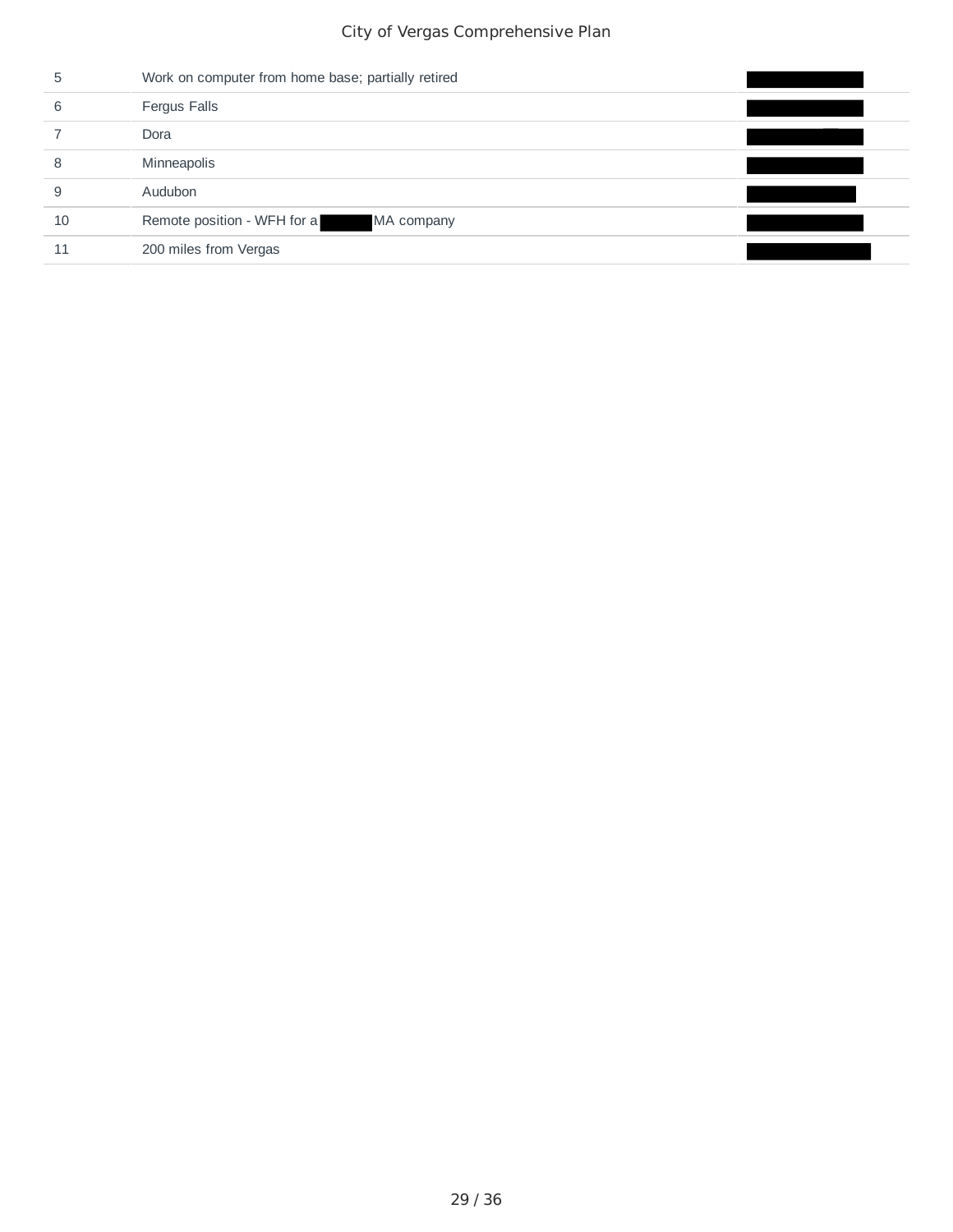| ь  | Work on computer from home base; partially retired |  |
|----|----------------------------------------------------|--|
| 6  | Fergus Falls                                       |  |
|    | Dora                                               |  |
| 8  | Minneapolis                                        |  |
| 9  | Audubon                                            |  |
| 10 | Remote position - WFH for a<br>MA company          |  |
| 11 | 200 miles from Vergas                              |  |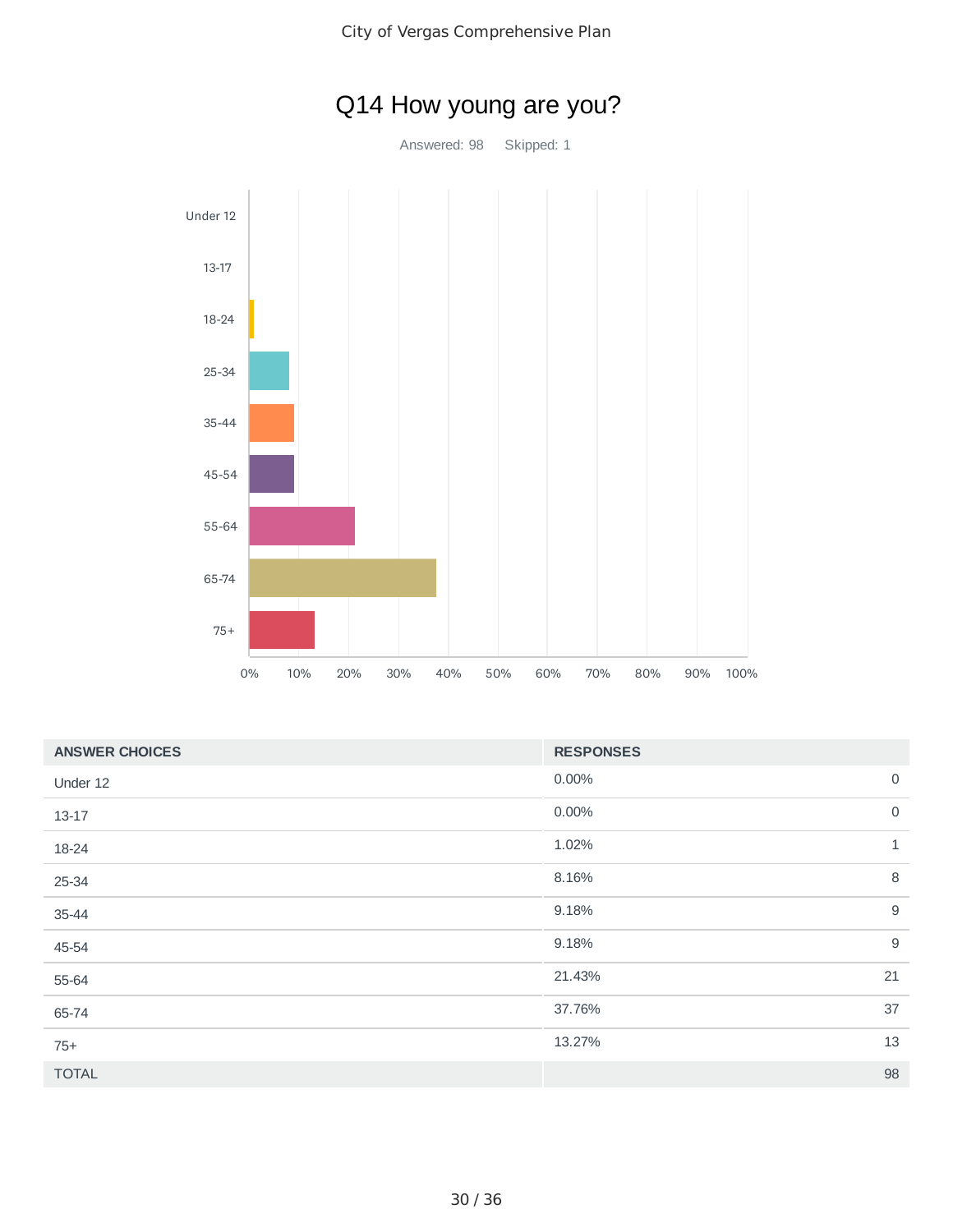

| <b>RESPONSES</b> |              |
|------------------|--------------|
| 0.00%            | $\mathsf{O}$ |
| 0.00%            | $\mathbf 0$  |
| 1.02%            | $\mathbf{1}$ |
| 8.16%            | 8            |
| 9.18%            | $9\,$        |
| 9.18%            | $9\,$        |
| 21.43%           | 21           |
| 37.76%           | 37           |
| 13.27%           | 13           |
|                  | 98           |
|                  |              |

# Q14 How young are you?

Answered: 98 Skipped: 1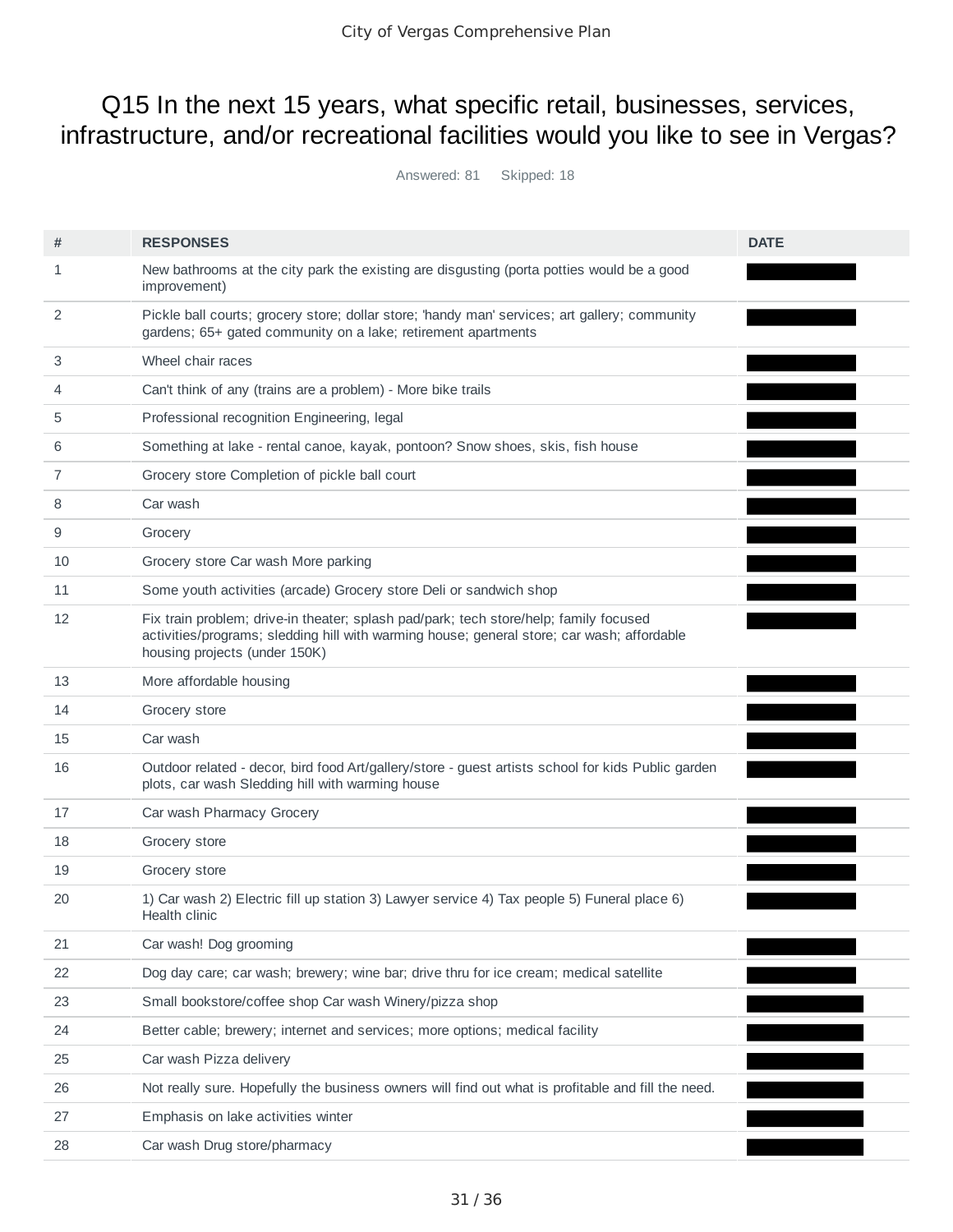## Q15 In the next 15 years, what specific retail, businesses, services, infrastructure, and/or recreational facilities would you like to see in Vergas?

Answered: 81 Skipped: 18

| #  | <b>RESPONSES</b>                                                                                                                                                                                                     | <b>DATE</b> |
|----|----------------------------------------------------------------------------------------------------------------------------------------------------------------------------------------------------------------------|-------------|
| 1  | New bathrooms at the city park the existing are disgusting (porta potties would be a good<br>improvement)                                                                                                            |             |
| 2  | Pickle ball courts; grocery store; dollar store; 'handy man' services; art gallery; community<br>gardens; 65+ gated community on a lake; retirement apartments                                                       |             |
| 3  | Wheel chair races                                                                                                                                                                                                    |             |
| 4  | Can't think of any (trains are a problem) - More bike trails                                                                                                                                                         |             |
| 5  | Professional recognition Engineering, legal                                                                                                                                                                          |             |
| 6  | Something at lake - rental canoe, kayak, pontoon? Snow shoes, skis, fish house                                                                                                                                       |             |
| 7  | Grocery store Completion of pickle ball court                                                                                                                                                                        |             |
| 8  | Car wash                                                                                                                                                                                                             |             |
| 9  | Grocery                                                                                                                                                                                                              |             |
| 10 | Grocery store Car wash More parking                                                                                                                                                                                  |             |
| 11 | Some youth activities (arcade) Grocery store Deli or sandwich shop                                                                                                                                                   |             |
| 12 | Fix train problem; drive-in theater; splash pad/park; tech store/help; family focused<br>activities/programs; sledding hill with warming house; general store; car wash; affordable<br>housing projects (under 150K) |             |
| 13 | More affordable housing                                                                                                                                                                                              |             |
| 14 | Grocery store                                                                                                                                                                                                        |             |
| 15 | Car wash                                                                                                                                                                                                             |             |
| 16 | Outdoor related - decor, bird food Art/gallery/store - guest artists school for kids Public garden<br>plots, car wash Sledding hill with warming house                                                               |             |
| 17 | Car wash Pharmacy Grocery                                                                                                                                                                                            |             |
| 18 | Grocery store                                                                                                                                                                                                        |             |
| 19 | Grocery store                                                                                                                                                                                                        |             |
| 20 | 1) Car wash 2) Electric fill up station 3) Lawyer service 4) Tax people 5) Funeral place 6)<br>Health clinic                                                                                                         |             |
| 21 | Car wash! Dog grooming                                                                                                                                                                                               |             |
| 22 | Dog day care; car wash; brewery; wine bar; drive thru for ice cream; medical satellite                                                                                                                               |             |
| 23 | Small bookstore/coffee shop Car wash Winery/pizza shop                                                                                                                                                               |             |
| 24 | Better cable; brewery; internet and services; more options; medical facility                                                                                                                                         |             |
| 25 | Car wash Pizza delivery                                                                                                                                                                                              |             |
| 26 | Not really sure. Hopefully the business owners will find out what is profitable and fill the need.                                                                                                                   |             |
| 27 | Emphasis on lake activities winter                                                                                                                                                                                   |             |
| 28 | Car wash Drug store/pharmacy                                                                                                                                                                                         |             |
|    |                                                                                                                                                                                                                      |             |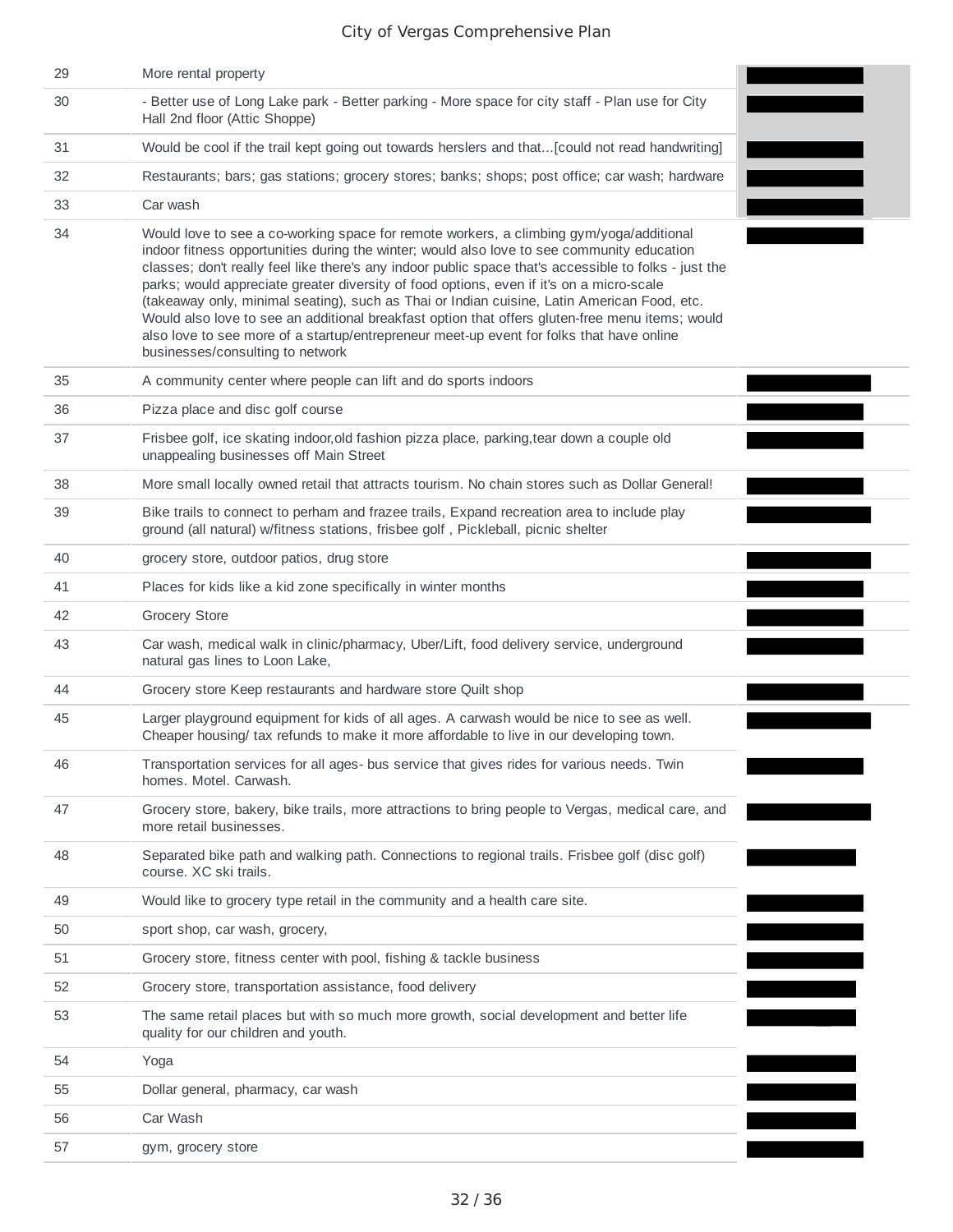| 29 | More rental property                                                                                                                                                                                                                                                                                                                                                                                                                                                                                                                                                                                                                                                                                                         |
|----|------------------------------------------------------------------------------------------------------------------------------------------------------------------------------------------------------------------------------------------------------------------------------------------------------------------------------------------------------------------------------------------------------------------------------------------------------------------------------------------------------------------------------------------------------------------------------------------------------------------------------------------------------------------------------------------------------------------------------|
| 30 | - Better use of Long Lake park - Better parking - More space for city staff - Plan use for City<br>Hall 2nd floor (Attic Shoppe)                                                                                                                                                                                                                                                                                                                                                                                                                                                                                                                                                                                             |
| 31 | Would be cool if the trail kept going out towards herslers and that[could not read handwriting]                                                                                                                                                                                                                                                                                                                                                                                                                                                                                                                                                                                                                              |
| 32 | Restaurants; bars; gas stations; grocery stores; banks; shops; post office; car wash; hardware                                                                                                                                                                                                                                                                                                                                                                                                                                                                                                                                                                                                                               |
| 33 | Car wash                                                                                                                                                                                                                                                                                                                                                                                                                                                                                                                                                                                                                                                                                                                     |
| 34 | Would love to see a co-working space for remote workers, a climbing gym/yoga/additional<br>indoor fitness opportunities during the winter; would also love to see community education<br>classes; don't really feel like there's any indoor public space that's accessible to folks - just the<br>parks; would appreciate greater diversity of food options, even if it's on a micro-scale<br>(takeaway only, minimal seating), such as Thai or Indian cuisine, Latin American Food, etc.<br>Would also love to see an additional breakfast option that offers gluten-free menu items; would<br>also love to see more of a startup/entrepreneur meet-up event for folks that have online<br>businesses/consulting to network |
| 35 | A community center where people can lift and do sports indoors                                                                                                                                                                                                                                                                                                                                                                                                                                                                                                                                                                                                                                                               |
| 36 | Pizza place and disc golf course                                                                                                                                                                                                                                                                                                                                                                                                                                                                                                                                                                                                                                                                                             |
| 37 | Frisbee golf, ice skating indoor, old fashion pizza place, parking, tear down a couple old<br>unappealing businesses off Main Street                                                                                                                                                                                                                                                                                                                                                                                                                                                                                                                                                                                         |
| 38 | More small locally owned retail that attracts tourism. No chain stores such as Dollar General!                                                                                                                                                                                                                                                                                                                                                                                                                                                                                                                                                                                                                               |
| 39 | Bike trails to connect to perham and frazee trails, Expand recreation area to include play<br>ground (all natural) w/fitness stations, frisbee golf, Pickleball, picnic shelter                                                                                                                                                                                                                                                                                                                                                                                                                                                                                                                                              |
| 40 | grocery store, outdoor patios, drug store                                                                                                                                                                                                                                                                                                                                                                                                                                                                                                                                                                                                                                                                                    |
| 41 | Places for kids like a kid zone specifically in winter months                                                                                                                                                                                                                                                                                                                                                                                                                                                                                                                                                                                                                                                                |
| 42 | <b>Grocery Store</b>                                                                                                                                                                                                                                                                                                                                                                                                                                                                                                                                                                                                                                                                                                         |
| 43 | Car wash, medical walk in clinic/pharmacy, Uber/Lift, food delivery service, underground<br>natural gas lines to Loon Lake,                                                                                                                                                                                                                                                                                                                                                                                                                                                                                                                                                                                                  |
| 44 | Grocery store Keep restaurants and hardware store Quilt shop                                                                                                                                                                                                                                                                                                                                                                                                                                                                                                                                                                                                                                                                 |
| 45 | Larger playground equipment for kids of all ages. A carwash would be nice to see as well.<br>Cheaper housing/ tax refunds to make it more affordable to live in our developing town.                                                                                                                                                                                                                                                                                                                                                                                                                                                                                                                                         |
| 46 | Transportation services for all ages- bus service that gives rides for various needs. Twin<br>homes. Motel. Carwash.                                                                                                                                                                                                                                                                                                                                                                                                                                                                                                                                                                                                         |
| 47 | Grocery store, bakery, bike trails, more attractions to bring people to Vergas, medical care, and<br>more retail businesses.                                                                                                                                                                                                                                                                                                                                                                                                                                                                                                                                                                                                 |
| 48 | Separated bike path and walking path. Connections to regional trails. Frisbee golf (disc golf)<br>course. XC ski trails.                                                                                                                                                                                                                                                                                                                                                                                                                                                                                                                                                                                                     |
| 49 | Would like to grocery type retail in the community and a health care site.                                                                                                                                                                                                                                                                                                                                                                                                                                                                                                                                                                                                                                                   |
| 50 | sport shop, car wash, grocery,                                                                                                                                                                                                                                                                                                                                                                                                                                                                                                                                                                                                                                                                                               |
| 51 | Grocery store, fitness center with pool, fishing & tackle business                                                                                                                                                                                                                                                                                                                                                                                                                                                                                                                                                                                                                                                           |
| 52 | Grocery store, transportation assistance, food delivery                                                                                                                                                                                                                                                                                                                                                                                                                                                                                                                                                                                                                                                                      |
| 53 | The same retail places but with so much more growth, social development and better life<br>quality for our children and youth.                                                                                                                                                                                                                                                                                                                                                                                                                                                                                                                                                                                               |
| 54 | Yoga                                                                                                                                                                                                                                                                                                                                                                                                                                                                                                                                                                                                                                                                                                                         |
| 55 | Dollar general, pharmacy, car wash                                                                                                                                                                                                                                                                                                                                                                                                                                                                                                                                                                                                                                                                                           |
| 56 | Car Wash                                                                                                                                                                                                                                                                                                                                                                                                                                                                                                                                                                                                                                                                                                                     |
| 57 | gym, grocery store                                                                                                                                                                                                                                                                                                                                                                                                                                                                                                                                                                                                                                                                                                           |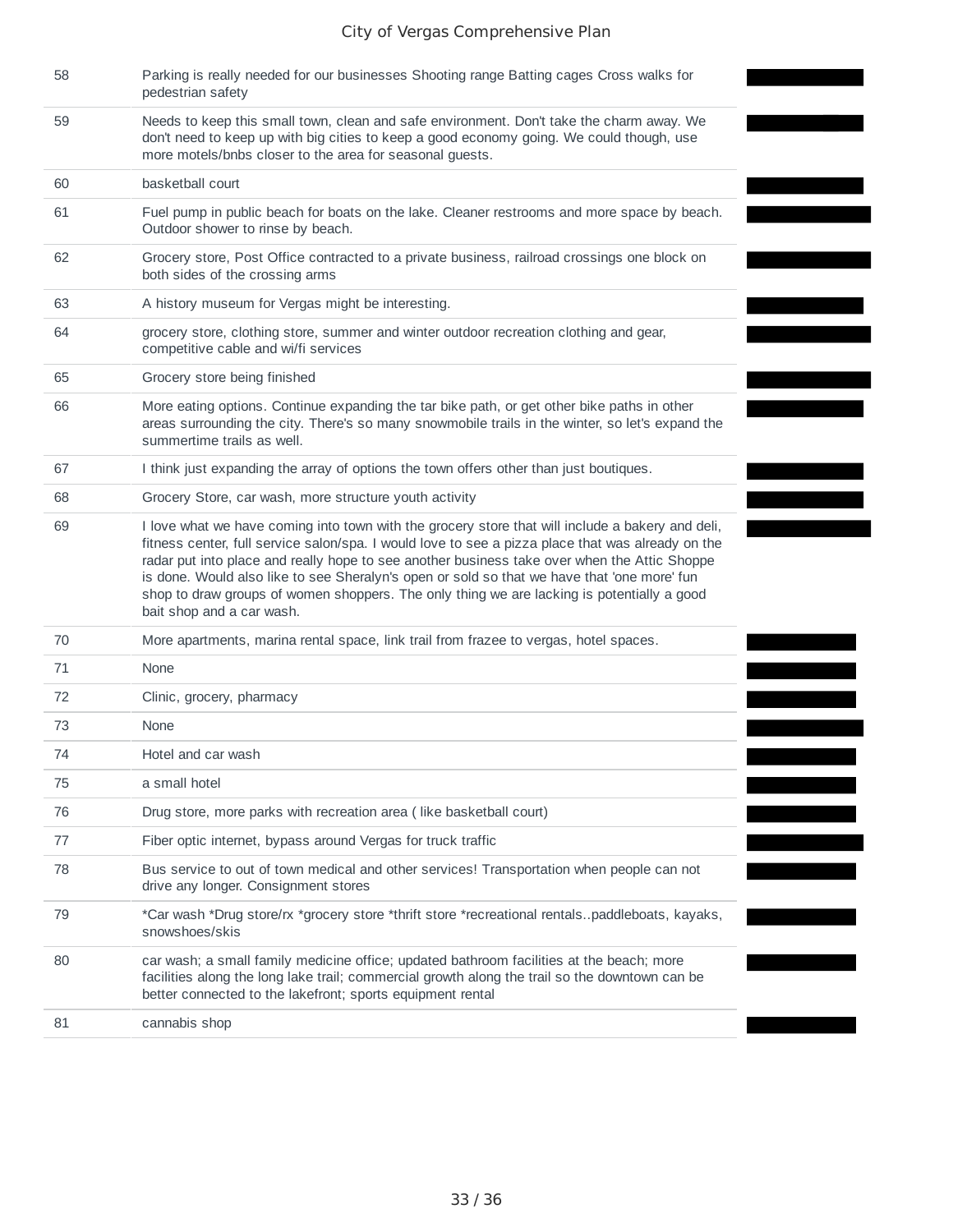| 58 | Parking is really needed for our businesses Shooting range Batting cages Cross walks for<br>pedestrian safety                                                                                                                                                                                                                                                                                                                                                                                                                   |
|----|---------------------------------------------------------------------------------------------------------------------------------------------------------------------------------------------------------------------------------------------------------------------------------------------------------------------------------------------------------------------------------------------------------------------------------------------------------------------------------------------------------------------------------|
| 59 | Needs to keep this small town, clean and safe environment. Don't take the charm away. We<br>don't need to keep up with big cities to keep a good economy going. We could though, use<br>more motels/bnbs closer to the area for seasonal guests.                                                                                                                                                                                                                                                                                |
| 60 | basketball court                                                                                                                                                                                                                                                                                                                                                                                                                                                                                                                |
| 61 | Fuel pump in public beach for boats on the lake. Cleaner restrooms and more space by beach.<br>Outdoor shower to rinse by beach.                                                                                                                                                                                                                                                                                                                                                                                                |
| 62 | Grocery store, Post Office contracted to a private business, railroad crossings one block on<br>both sides of the crossing arms                                                                                                                                                                                                                                                                                                                                                                                                 |
| 63 | A history museum for Vergas might be interesting.                                                                                                                                                                                                                                                                                                                                                                                                                                                                               |
| 64 | grocery store, clothing store, summer and winter outdoor recreation clothing and gear,<br>competitive cable and wi/fi services                                                                                                                                                                                                                                                                                                                                                                                                  |
| 65 | Grocery store being finished                                                                                                                                                                                                                                                                                                                                                                                                                                                                                                    |
| 66 | More eating options. Continue expanding the tar bike path, or get other bike paths in other<br>areas surrounding the city. There's so many snowmobile trails in the winter, so let's expand the<br>summertime trails as well.                                                                                                                                                                                                                                                                                                   |
| 67 | I think just expanding the array of options the town offers other than just boutiques.                                                                                                                                                                                                                                                                                                                                                                                                                                          |
| 68 | Grocery Store, car wash, more structure youth activity                                                                                                                                                                                                                                                                                                                                                                                                                                                                          |
| 69 | I love what we have coming into town with the grocery store that will include a bakery and deli,<br>fitness center, full service salon/spa. I would love to see a pizza place that was already on the<br>radar put into place and really hope to see another business take over when the Attic Shoppe<br>is done. Would also like to see Sheralyn's open or sold so that we have that 'one more' fun<br>shop to draw groups of women shoppers. The only thing we are lacking is potentially a good<br>bait shop and a car wash. |
| 70 | More apartments, marina rental space, link trail from frazee to vergas, hotel spaces.                                                                                                                                                                                                                                                                                                                                                                                                                                           |
| 71 | None                                                                                                                                                                                                                                                                                                                                                                                                                                                                                                                            |
| 72 | Clinic, grocery, pharmacy                                                                                                                                                                                                                                                                                                                                                                                                                                                                                                       |
| 73 | None                                                                                                                                                                                                                                                                                                                                                                                                                                                                                                                            |
| 74 | Hotel and car wash                                                                                                                                                                                                                                                                                                                                                                                                                                                                                                              |
| 75 | a small hotel                                                                                                                                                                                                                                                                                                                                                                                                                                                                                                                   |
| 76 | Drug store, more parks with recreation area (like basketball court)                                                                                                                                                                                                                                                                                                                                                                                                                                                             |
| 77 | Fiber optic internet, bypass around Vergas for truck traffic                                                                                                                                                                                                                                                                                                                                                                                                                                                                    |
| 78 | Bus service to out of town medical and other services! Transportation when people can not<br>drive any longer. Consignment stores                                                                                                                                                                                                                                                                                                                                                                                               |
| 79 | *Car wash *Drug store/rx *grocery store *thrift store *recreational rentalspaddleboats, kayaks,<br>snowshoes/skis                                                                                                                                                                                                                                                                                                                                                                                                               |
| 80 | car wash; a small family medicine office; updated bathroom facilities at the beach; more<br>facilities along the long lake trail; commercial growth along the trail so the downtown can be<br>better connected to the lakefront; sports equipment rental                                                                                                                                                                                                                                                                        |
| 81 | cannabis shop                                                                                                                                                                                                                                                                                                                                                                                                                                                                                                                   |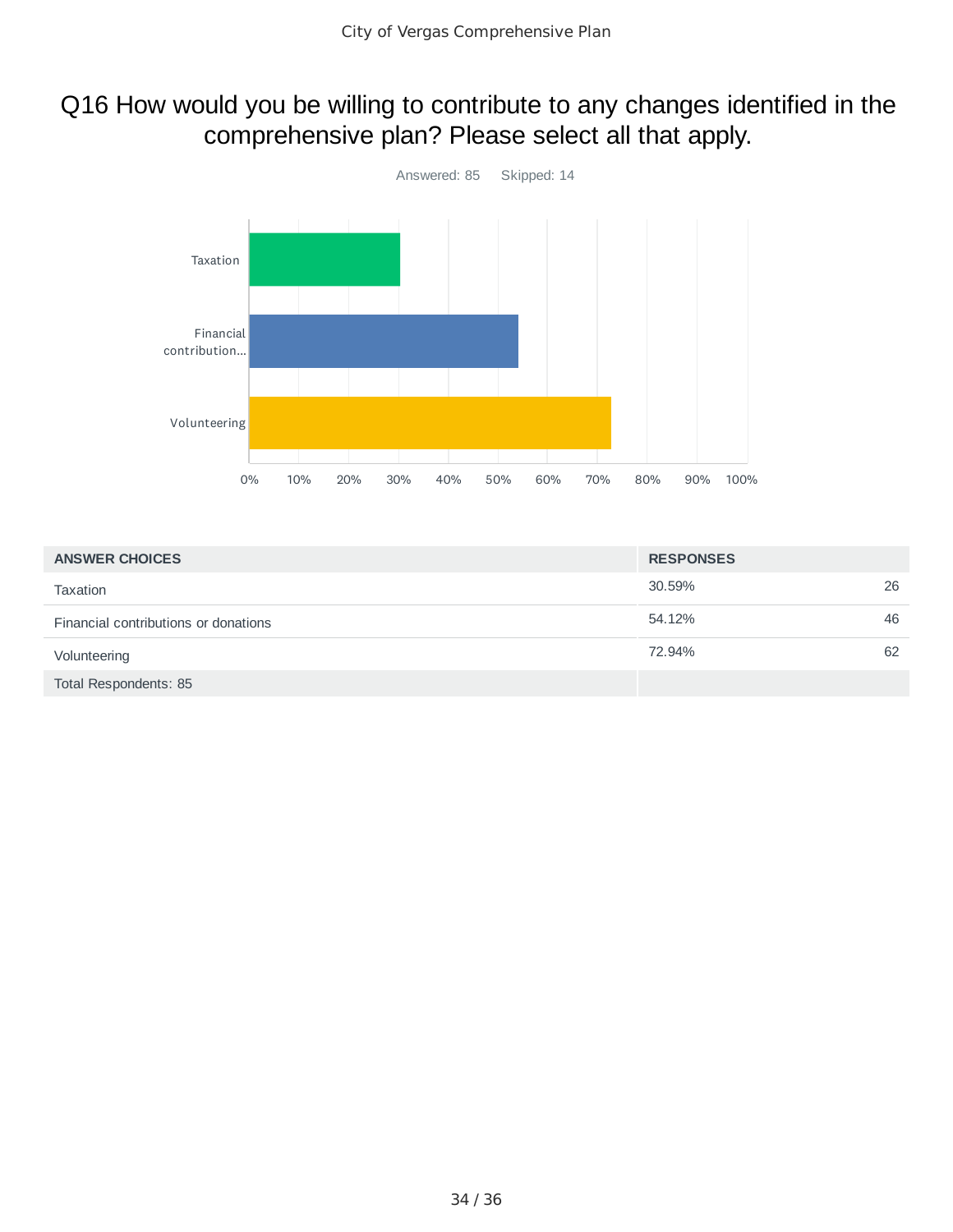## Q16 How would you be willing to contribute to any changes identified in the comprehensive plan? Please select all that apply.



| <b>ANSWER CHOICES</b>                | <b>RESPONSES</b> |    |
|--------------------------------------|------------------|----|
| <b>Taxation</b>                      | 30.59%           | 26 |
| Financial contributions or donations | 54.12%           | 46 |
| Volunteering                         | 72.94%           | 62 |
| Total Respondents: 85                |                  |    |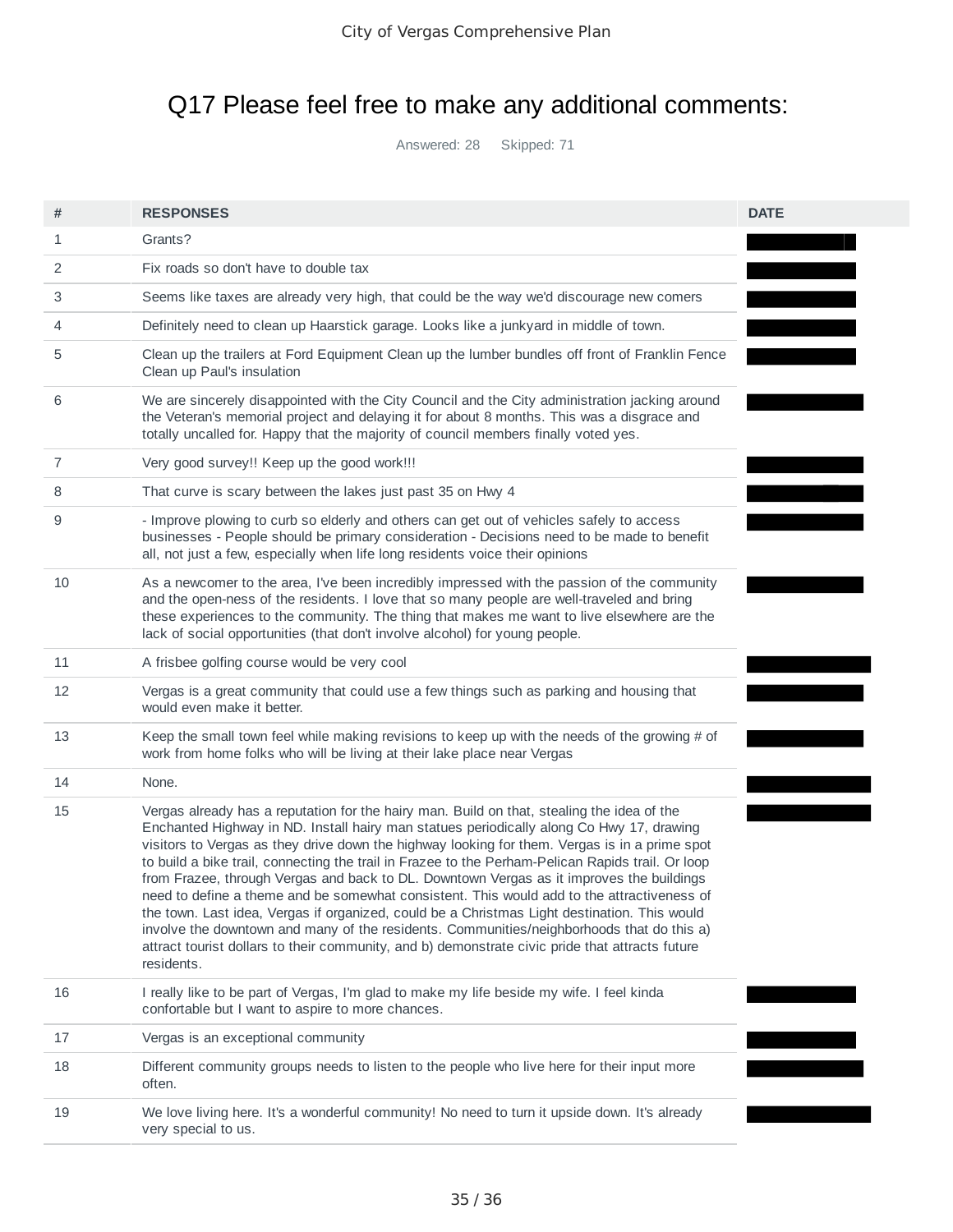# Q17 Please feel free to make any additional comments:

Answered: 28 Skipped: 71

| #  | <b>RESPONSES</b>                                                                                                                                                                                                                                                                                                                                                                                                                                                                                                                                                                                                                                                                                                                                                                                                                                                                                     | <b>DATE</b> |  |
|----|------------------------------------------------------------------------------------------------------------------------------------------------------------------------------------------------------------------------------------------------------------------------------------------------------------------------------------------------------------------------------------------------------------------------------------------------------------------------------------------------------------------------------------------------------------------------------------------------------------------------------------------------------------------------------------------------------------------------------------------------------------------------------------------------------------------------------------------------------------------------------------------------------|-------------|--|
| 1  | Grants?                                                                                                                                                                                                                                                                                                                                                                                                                                                                                                                                                                                                                                                                                                                                                                                                                                                                                              |             |  |
| 2  | Fix roads so don't have to double tax                                                                                                                                                                                                                                                                                                                                                                                                                                                                                                                                                                                                                                                                                                                                                                                                                                                                |             |  |
| 3  | Seems like taxes are already very high, that could be the way we'd discourage new comers                                                                                                                                                                                                                                                                                                                                                                                                                                                                                                                                                                                                                                                                                                                                                                                                             |             |  |
| 4  | Definitely need to clean up Haarstick garage. Looks like a junkyard in middle of town.                                                                                                                                                                                                                                                                                                                                                                                                                                                                                                                                                                                                                                                                                                                                                                                                               |             |  |
| 5  | Clean up the trailers at Ford Equipment Clean up the lumber bundles off front of Franklin Fence<br>Clean up Paul's insulation                                                                                                                                                                                                                                                                                                                                                                                                                                                                                                                                                                                                                                                                                                                                                                        |             |  |
| 6  | We are sincerely disappointed with the City Council and the City administration jacking around<br>the Veteran's memorial project and delaying it for about 8 months. This was a disgrace and<br>totally uncalled for. Happy that the majority of council members finally voted yes.                                                                                                                                                                                                                                                                                                                                                                                                                                                                                                                                                                                                                  |             |  |
| 7  | Very good survey!! Keep up the good work!!!                                                                                                                                                                                                                                                                                                                                                                                                                                                                                                                                                                                                                                                                                                                                                                                                                                                          |             |  |
| 8  | That curve is scary between the lakes just past 35 on Hwy 4                                                                                                                                                                                                                                                                                                                                                                                                                                                                                                                                                                                                                                                                                                                                                                                                                                          |             |  |
| 9  | - Improve plowing to curb so elderly and others can get out of vehicles safely to access<br>businesses - People should be primary consideration - Decisions need to be made to benefit<br>all, not just a few, especially when life long residents voice their opinions                                                                                                                                                                                                                                                                                                                                                                                                                                                                                                                                                                                                                              |             |  |
| 10 | As a newcomer to the area, I've been incredibly impressed with the passion of the community<br>and the open-ness of the residents. I love that so many people are well-traveled and bring<br>these experiences to the community. The thing that makes me want to live elsewhere are the<br>lack of social opportunities (that don't involve alcohol) for young people.                                                                                                                                                                                                                                                                                                                                                                                                                                                                                                                               |             |  |
| 11 | A frisbee golfing course would be very cool                                                                                                                                                                                                                                                                                                                                                                                                                                                                                                                                                                                                                                                                                                                                                                                                                                                          |             |  |
| 12 | Vergas is a great community that could use a few things such as parking and housing that<br>would even make it better.                                                                                                                                                                                                                                                                                                                                                                                                                                                                                                                                                                                                                                                                                                                                                                               |             |  |
| 13 | Keep the small town feel while making revisions to keep up with the needs of the growing # of<br>work from home folks who will be living at their lake place near Vergas                                                                                                                                                                                                                                                                                                                                                                                                                                                                                                                                                                                                                                                                                                                             |             |  |
| 14 | None.                                                                                                                                                                                                                                                                                                                                                                                                                                                                                                                                                                                                                                                                                                                                                                                                                                                                                                |             |  |
| 15 | Vergas already has a reputation for the hairy man. Build on that, stealing the idea of the<br>Enchanted Highway in ND. Install hairy man statues periodically along Co Hwy 17, drawing<br>visitors to Vergas as they drive down the highway looking for them. Vergas is in a prime spot<br>to build a bike trail, connecting the trail in Frazee to the Perham-Pelican Rapids trail. Or loop<br>from Frazee, through Vergas and back to DL. Downtown Vergas as it improves the buildings<br>need to define a theme and be somewhat consistent. This would add to the attractiveness of<br>the town. Last idea, Vergas if organized, could be a Christmas Light destination. This would<br>involve the downtown and many of the residents. Communities/neighborhoods that do this a)<br>attract tourist dollars to their community, and b) demonstrate civic pride that attracts future<br>residents. |             |  |
| 16 | I really like to be part of Vergas, I'm glad to make my life beside my wife. I feel kinda<br>confortable but I want to aspire to more chances.                                                                                                                                                                                                                                                                                                                                                                                                                                                                                                                                                                                                                                                                                                                                                       |             |  |
| 17 | Vergas is an exceptional community                                                                                                                                                                                                                                                                                                                                                                                                                                                                                                                                                                                                                                                                                                                                                                                                                                                                   |             |  |
| 18 | Different community groups needs to listen to the people who live here for their input more<br>often.                                                                                                                                                                                                                                                                                                                                                                                                                                                                                                                                                                                                                                                                                                                                                                                                |             |  |
| 19 | We love living here. It's a wonderful community! No need to turn it upside down. It's already<br>very special to us.                                                                                                                                                                                                                                                                                                                                                                                                                                                                                                                                                                                                                                                                                                                                                                                 |             |  |